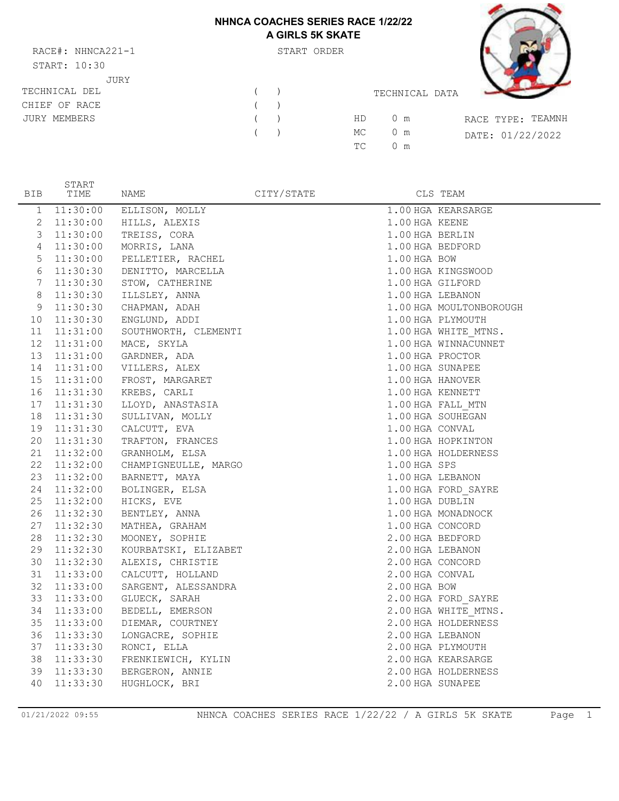## **NHNCA COACHES SERIES RACE 1/22/22 A GIRLS 5K SKATE**

RACE#: NHNCA221-1 START ORDER START: 10:30 JURY TECHNICAL DEL CHIEF OF RACE JURY MEMBERS



| $($ $)$<br>( |    | TECHNICAL DATA |                   |
|--------------|----|----------------|-------------------|
| (            |    | HD 0 m         | RACE TYPE: TEAMNH |
| (            |    | MC 0 m         | DATE: 01/22/2022  |
|              | TC | $0 \text{ m}$  |                   |

| $\mathbf{1}$<br>11:30:00<br>ELLISON, MOLLY<br>1.00 HGA KEARSARGE<br>$\mathbf{2}$<br>11:30:00<br>1.00 HGA KEENE<br>HILLS, ALEXIS<br>3<br>11:30:00<br>TREISS, CORA<br>1.00 HGA BERLIN<br>4<br>11:30:00<br>MORRIS, LANA<br>1.00 HGA BEDFORD<br>5<br>11:30:00<br>PELLETIER, RACHEL<br>1.00 HGA BOW<br>6<br>11:30:30<br>DENITTO, MARCELLA<br>1.00 HGA KINGSWOOD<br>7<br>11:30:30<br>STOW, CATHERINE<br>1.00 HGA GILFORD<br>8<br>11:30:30<br>ILLSLEY, ANNA<br>1.00 HGA LEBANON<br>9<br>11:30:30<br>CHAPMAN, ADAH<br>1.00 HGA MOULTONBOROUGH<br>10<br>11:30:30<br>1.00 HGA PLYMOUTH<br>ENGLUND, ADDI<br>11<br>11:31:00<br>1.00 HGA WHITE MTNS.<br>SOUTHWORTH, CLEMENTI<br>12<br>1.00 HGA WINNACUNNET<br>11:31:00<br>MACE, SKYLA<br>13<br>GARDNER, ADA<br>1.00 HGA PROCTOR<br>11:31:00<br>14<br>1.00 HGA SUNAPEE |  |
|----------------------------------------------------------------------------------------------------------------------------------------------------------------------------------------------------------------------------------------------------------------------------------------------------------------------------------------------------------------------------------------------------------------------------------------------------------------------------------------------------------------------------------------------------------------------------------------------------------------------------------------------------------------------------------------------------------------------------------------------------------------------------------------------------------|--|
|                                                                                                                                                                                                                                                                                                                                                                                                                                                                                                                                                                                                                                                                                                                                                                                                          |  |
|                                                                                                                                                                                                                                                                                                                                                                                                                                                                                                                                                                                                                                                                                                                                                                                                          |  |
|                                                                                                                                                                                                                                                                                                                                                                                                                                                                                                                                                                                                                                                                                                                                                                                                          |  |
|                                                                                                                                                                                                                                                                                                                                                                                                                                                                                                                                                                                                                                                                                                                                                                                                          |  |
|                                                                                                                                                                                                                                                                                                                                                                                                                                                                                                                                                                                                                                                                                                                                                                                                          |  |
|                                                                                                                                                                                                                                                                                                                                                                                                                                                                                                                                                                                                                                                                                                                                                                                                          |  |
|                                                                                                                                                                                                                                                                                                                                                                                                                                                                                                                                                                                                                                                                                                                                                                                                          |  |
|                                                                                                                                                                                                                                                                                                                                                                                                                                                                                                                                                                                                                                                                                                                                                                                                          |  |
|                                                                                                                                                                                                                                                                                                                                                                                                                                                                                                                                                                                                                                                                                                                                                                                                          |  |
|                                                                                                                                                                                                                                                                                                                                                                                                                                                                                                                                                                                                                                                                                                                                                                                                          |  |
|                                                                                                                                                                                                                                                                                                                                                                                                                                                                                                                                                                                                                                                                                                                                                                                                          |  |
|                                                                                                                                                                                                                                                                                                                                                                                                                                                                                                                                                                                                                                                                                                                                                                                                          |  |
|                                                                                                                                                                                                                                                                                                                                                                                                                                                                                                                                                                                                                                                                                                                                                                                                          |  |
| 11:31:00<br>VILLERS, ALEX                                                                                                                                                                                                                                                                                                                                                                                                                                                                                                                                                                                                                                                                                                                                                                                |  |
| 15<br>11:31:00<br>1.00 HGA HANOVER<br>FROST, MARGARET                                                                                                                                                                                                                                                                                                                                                                                                                                                                                                                                                                                                                                                                                                                                                    |  |
| 16<br>11:31:30<br>KREBS, CARLI<br>1.00 HGA KENNETT                                                                                                                                                                                                                                                                                                                                                                                                                                                                                                                                                                                                                                                                                                                                                       |  |
| 17<br>11:31:30<br>1.00 HGA FALL MTN<br>LLOYD, ANASTASIA                                                                                                                                                                                                                                                                                                                                                                                                                                                                                                                                                                                                                                                                                                                                                  |  |
| 18<br>1.00 HGA SOUHEGAN<br>11:31:30<br>SULLIVAN, MOLLY                                                                                                                                                                                                                                                                                                                                                                                                                                                                                                                                                                                                                                                                                                                                                   |  |
| 19<br>11:31:30<br>CALCUTT, EVA<br>1.00 HGA CONVAL                                                                                                                                                                                                                                                                                                                                                                                                                                                                                                                                                                                                                                                                                                                                                        |  |
| 20<br>11:31:30<br>TRAFTON, FRANCES<br>1.00 HGA HOPKINTON                                                                                                                                                                                                                                                                                                                                                                                                                                                                                                                                                                                                                                                                                                                                                 |  |
| 21<br>11:32:00<br>GRANHOLM, ELSA<br>1.00 HGA HOLDERNESS                                                                                                                                                                                                                                                                                                                                                                                                                                                                                                                                                                                                                                                                                                                                                  |  |
| 22<br>11:32:00<br>CHAMPIGNEULLE, MARGO<br>1.00 HGA SPS                                                                                                                                                                                                                                                                                                                                                                                                                                                                                                                                                                                                                                                                                                                                                   |  |
| 23<br>11:32:00<br>BARNETT, MAYA<br>1.00 HGA LEBANON                                                                                                                                                                                                                                                                                                                                                                                                                                                                                                                                                                                                                                                                                                                                                      |  |
| 24<br>11:32:00<br>BOLINGER, ELSA<br>1.00 HGA FORD SAYRE                                                                                                                                                                                                                                                                                                                                                                                                                                                                                                                                                                                                                                                                                                                                                  |  |
| 25<br>11:32:00<br>1.00 HGA DUBLIN<br>HICKS, EVE                                                                                                                                                                                                                                                                                                                                                                                                                                                                                                                                                                                                                                                                                                                                                          |  |
| 26<br>11:32:30<br>BENTLEY, ANNA<br>1.00 HGA MONADNOCK                                                                                                                                                                                                                                                                                                                                                                                                                                                                                                                                                                                                                                                                                                                                                    |  |
| 27<br>11:32:30<br>MATHEA, GRAHAM<br>1.00 HGA CONCORD                                                                                                                                                                                                                                                                                                                                                                                                                                                                                                                                                                                                                                                                                                                                                     |  |
| 28<br>11:32:30<br>MOONEY, SOPHIE<br>2.00 HGA BEDFORD                                                                                                                                                                                                                                                                                                                                                                                                                                                                                                                                                                                                                                                                                                                                                     |  |
| 29<br>11:32:30<br>KOURBATSKI, ELIZABET<br>2.00 HGA LEBANON                                                                                                                                                                                                                                                                                                                                                                                                                                                                                                                                                                                                                                                                                                                                               |  |
| 30<br>11:32:30<br>ALEXIS, CHRISTIE<br>2.00 HGA CONCORD                                                                                                                                                                                                                                                                                                                                                                                                                                                                                                                                                                                                                                                                                                                                                   |  |
| 31<br>11:33:00<br>CALCUTT, HOLLAND<br>2.00 HGA CONVAL                                                                                                                                                                                                                                                                                                                                                                                                                                                                                                                                                                                                                                                                                                                                                    |  |
| 32<br>11:33:00<br>SARGENT, ALESSANDRA<br>2.00 HGA BOW                                                                                                                                                                                                                                                                                                                                                                                                                                                                                                                                                                                                                                                                                                                                                    |  |
| 33<br>GLUECK, SARAH<br>11:33:00<br>2.00 HGA FORD SAYRE                                                                                                                                                                                                                                                                                                                                                                                                                                                                                                                                                                                                                                                                                                                                                   |  |
| 34<br>2.00 HGA WHITE MTNS.<br>11:33:00<br>BEDELL, EMERSON                                                                                                                                                                                                                                                                                                                                                                                                                                                                                                                                                                                                                                                                                                                                                |  |
| 35<br>11:33:00<br>DIEMAR, COURTNEY<br>2.00 HGA HOLDERNESS                                                                                                                                                                                                                                                                                                                                                                                                                                                                                                                                                                                                                                                                                                                                                |  |
| 36<br>11:33:30<br>LONGACRE, SOPHIE<br>2.00 HGA LEBANON                                                                                                                                                                                                                                                                                                                                                                                                                                                                                                                                                                                                                                                                                                                                                   |  |
| 37<br>11:33:30<br>RONCI, ELLA<br>2.00 HGA PLYMOUTH                                                                                                                                                                                                                                                                                                                                                                                                                                                                                                                                                                                                                                                                                                                                                       |  |
| 38<br>11:33:30<br>FRENKIEWICH, KYLIN<br>2.00 HGA KEARSARGE                                                                                                                                                                                                                                                                                                                                                                                                                                                                                                                                                                                                                                                                                                                                               |  |
| 39<br>11:33:30<br>BERGERON, ANNIE<br>2.00 HGA HOLDERNESS                                                                                                                                                                                                                                                                                                                                                                                                                                                                                                                                                                                                                                                                                                                                                 |  |
| 40<br>11:33:30<br>HUGHLOCK, BRI<br>2.00 HGA SUNAPEE                                                                                                                                                                                                                                                                                                                                                                                                                                                                                                                                                                                                                                                                                                                                                      |  |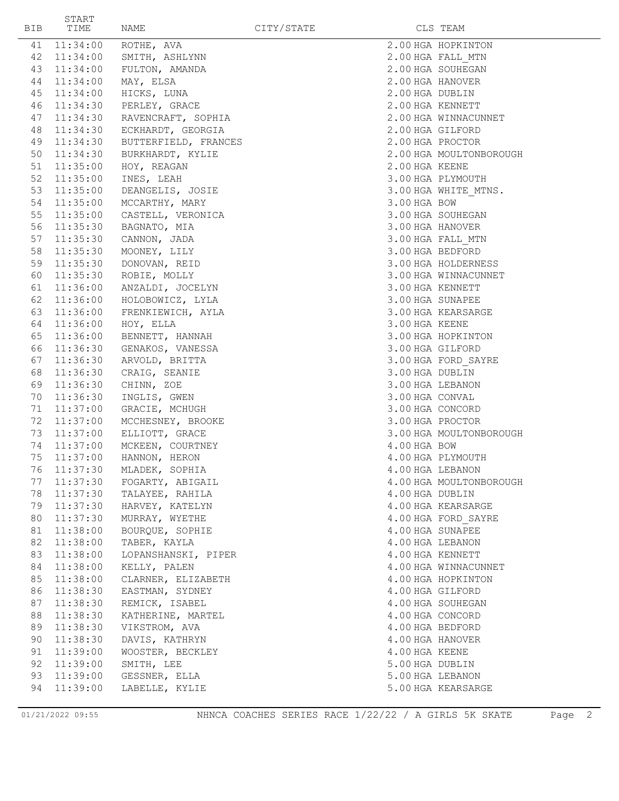| BIB | START<br>TIME         | NAME                             | CITY/STATE |                  | CLS TEAM                |
|-----|-----------------------|----------------------------------|------------|------------------|-------------------------|
| 41  |                       | 11:34:00 ROTHE, AVA              |            |                  | 2.00 HGA HOPKINTON      |
|     |                       | 42 11:34:00 SMITH, ASHLYNN       |            |                  | 2.00 HGA FALL MTN       |
| 43  |                       | 11:34:00 FULTON, AMANDA          |            |                  | 2.00 HGA SOUHEGAN       |
| 44  | 11:34:00 MAY, ELSA    |                                  |            |                  | 2.00 HGA HANOVER        |
| 45  |                       | 11:34:00 HICKS, LUNA             |            | 2.00 HGA DUBLIN  |                         |
| 46  |                       | 11:34:30 PERLEY, GRACE           |            | 2.00 HGA KENNETT |                         |
|     |                       | 47 11:34:30 RAVENCRAFT, SOPHIA   |            |                  | 2.00 HGA WINNACUNNET    |
| 48  |                       | 11:34:30 ECKHARDT, GEORGIA       |            | 2.00 HGA GILFORD |                         |
|     |                       | 49 11:34:30 BUTTERFIELD, FRANCES |            | 2.00 HGA PROCTOR |                         |
|     |                       | 50 11:34:30 BURKHARDT, KYLIE     |            |                  | 2.00 HGA MOULTONBOROUGH |
| 51  |                       | $11:35:00$ HOY, REAGAN           |            | 2.00 HGA KEENE   |                         |
| 52  |                       | 11:35:00 INES, LEAH              |            |                  | 3.00 HGA PLYMOUTH       |
| 53  |                       | 11:35:00 DEANGELIS, JOSIE        |            |                  | 3.00 HGA WHITE MTNS.    |
|     |                       | 54 11:35:00 MCCARTHY, MARY       |            | 3.00 HGA BOW     |                         |
| 55  |                       | 11:35:00 CASTELL, VERONICA       |            |                  | 3.00 HGA SOUHEGAN       |
| 56  |                       | $11:35:30$ BAGNATO, MIA          |            |                  | 3.00 HGA HANOVER        |
|     |                       | 57 11:35:30 CANNON, JADA         |            |                  | 3.00 HGA FALL MTN       |
| 58  | 11:35:30              | MOONEY, LILY                     |            | 3.00 HGA BEDFORD |                         |
|     |                       | 59 11:35:30 DONOVAN, REID        |            |                  | 3.00 HGA HOLDERNESS     |
|     |                       | 60 11:35:30 ROBIE, MOLLY         |            |                  | 3.00 HGA WINNACUNNET    |
| 61  |                       | 11:36:00 ANZALDI, JOCELYN        |            | 3.00 HGA KENNETT |                         |
| 62  |                       | 11:36:00 HOLOBOWICZ, LYLA        |            | 3.00 HGA SUNAPEE |                         |
|     |                       | 63 11:36:00 FRENKIEWICH, AYLA    |            |                  | 3.00 HGA KEARSARGE      |
|     | 64 11:36:00 HOY, ELLA |                                  |            | 3.00 HGA KEENE   |                         |
| 65  |                       | 11:36:00 BENNETT, HANNAH         |            |                  | 3.00 HGA HOPKINTON      |
| 66  |                       | 11:36:30 GENAKOS, VANESSA        |            | 3.00 HGA GILFORD |                         |
|     |                       | 67 11:36:30 ARVOLD, BRITTA       |            |                  | 3.00 HGA FORD SAYRE     |
| 68  |                       | 11:36:30 CRAIG, SEANIE           |            | 3.00 HGA DUBLIN  |                         |
|     |                       | 69 11:36:30 CHINN, ZOE           |            | 3.00 HGA LEBANON |                         |
| 70  | 11:36:30              | INGLIS, GWEN                     |            | 3.00 HGA CONVAL  |                         |
| 71  |                       | 11:37:00 GRACIE, MCHUGH          |            | 3.00 HGA CONCORD |                         |
| 72  |                       | 11:37:00 MCCHESNEY, BROOKE       |            | 3.00 HGA PROCTOR |                         |
| 73  |                       | 11:37:00 ELLIOTT, GRACE          |            |                  | 3.00 HGA MOULTONBOROUGH |
| 74  |                       | 11:37:00 MCKEEN, COURTNEY        |            | 4.00 HGA BOW     |                         |
| 75  | 11:37:00              | HANNON, HERON                    |            |                  | 4.00 HGA PLYMOUTH       |
| 76  | 11:37:30              | MLADEK, SOPHIA                   |            | 4.00 HGA LEBANON |                         |
| 77  | 11:37:30              | FOGARTY, ABIGAIL                 |            |                  | 4.00 HGA MOULTONBOROUGH |
| 78  | 11:37:30              | TALAYEE, RAHILA                  |            | 4.00 HGA DUBLIN  |                         |
| 79  | 11:37:30              | HARVEY, KATELYN                  |            |                  | 4.00 HGA KEARSARGE      |
| 80  | 11:37:30              | MURRAY, WYETHE                   |            |                  | 4.00 HGA FORD SAYRE     |
| 81  | 11:38:00              | BOURQUE, SOPHIE                  |            |                  | 4.00 HGA SUNAPEE        |
| 82  | 11:38:00              | TABER, KAYLA                     |            |                  | 4.00 HGA LEBANON        |
| 83  | 11:38:00              | LOPANSHANSKI, PIPER              |            |                  | 4.00 HGA KENNETT        |
| 84  | 11:38:00              | KELLY, PALEN                     |            |                  | 4.00 HGA WINNACUNNET    |
| 85  | 11:38:00              | CLARNER, ELIZABETH               |            |                  | 4.00 HGA HOPKINTON      |
| 86  | 11:38:30              | EASTMAN, SYDNEY                  |            |                  | 4.00 HGA GILFORD        |
| 87  | 11:38:30              | REMICK, ISABEL                   |            |                  | 4.00 HGA SOUHEGAN       |
| 88  | 11:38:30              | KATHERINE, MARTEL                |            |                  | 4.00 HGA CONCORD        |
| 89  | 11:38:30              | VIKSTROM, AVA                    |            |                  | 4.00 HGA BEDFORD        |
| 90  | 11:38:30              | DAVIS, KATHRYN                   |            |                  | 4.00 HGA HANOVER        |
| 91  | 11:39:00              | WOOSTER, BECKLEY                 |            | 4.00 HGA KEENE   |                         |
| 92  | 11:39:00              | SMITH, LEE                       |            | 5.00 HGA DUBLIN  |                         |
| 93  | 11:39:00              | GESSNER, ELLA                    |            |                  | 5.00 HGA LEBANON        |
| 94  | 11:39:00              | LABELLE, KYLIE                   |            |                  | 5.00 HGA KEARSARGE      |
|     |                       |                                  |            |                  |                         |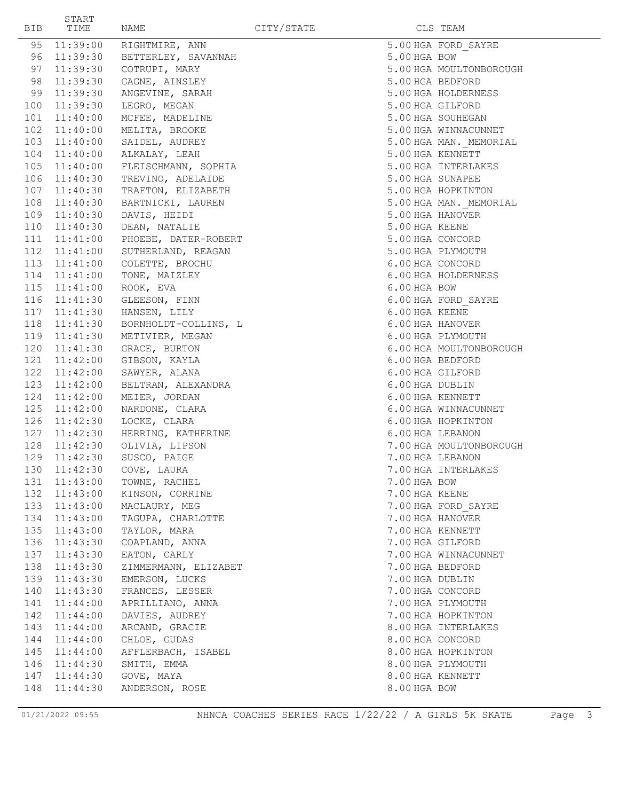| BIB | START<br>TIME | NAME                       | CITY/STATE |                | CLS TEAM                |
|-----|---------------|----------------------------|------------|----------------|-------------------------|
|     |               | 95 11:39:00 RIGHTMIRE, ANN |            |                | 5.00 HGA FORD SAYRE     |
|     | 96 11:39:30   | BETTERLEY, SAVANNAH        |            | 5.00 HGA BOW   |                         |
|     | 97 11:39:30   | COTRUPI, MARY              |            |                | 5.00 HGA MOULTONBOROUGH |
| 98  | 11:39:30      | GAGNE, AINSLEY             |            |                | 5.00 HGA BEDFORD        |
|     | 99 11:39:30   | ANGEVINE, SARAH            |            |                | 5.00 HGA HOLDERNESS     |
|     | 100 11:39:30  | LEGRO, MEGAN               |            |                | 5.00 HGA GILFORD        |
|     | 101 11:40:00  | MCFEE, MADELINE            |            |                | 5.00 HGA SOUHEGAN       |
|     | 102 11:40:00  | MELITA, BROOKE             |            |                | 5.00 HGA WINNACUNNET    |
|     | 103 11:40:00  | SAIDEL, AUDREY             |            |                | 5.00 HGA MAN. MEMORIAL  |
|     | 104 11:40:00  | ALKALAY, LEAH              |            |                | 5.00 HGA KENNETT        |
|     | 105 11:40:00  | FLEISCHMANN, SOPHIA        |            |                | 5.00 HGA INTERLAKES     |
|     | 106 11:40:30  | TREVINO, ADELAIDE          |            |                | 5.00 HGA SUNAPEE        |
|     | 107 11:40:30  | TRAFTON, ELIZABETH         |            |                | 5.00 HGA HOPKINTON      |
|     | 108 11:40:30  | BARTNICKI, LAUREN          |            |                | 5.00 HGA MAN. MEMORIAL  |
|     | 109 11:40:30  | DAVIS, HEIDI               |            |                | 5.00 HGA HANOVER        |
|     | 110 11:40:30  | DEAN, NATALIE              |            | 5.00 HGA KEENE |                         |
|     | 111 11:41:00  | PHOEBE, DATER-ROBERT       |            |                | 5.00 HGA CONCORD        |
|     | 112 11:41:00  | SUTHERLAND, REAGAN         |            |                | 5.00 HGA PLYMOUTH       |
|     | 113 11:41:00  | COLETTE, BROCHU            |            |                | 6.00 HGA CONCORD        |
|     | 114 11:41:00  | TONE, MAIZLEY              |            |                | 6.00 HGA HOLDERNESS     |
|     | 115 11:41:00  | ROOK, EVA                  |            | 6.00 HGA BOW   |                         |
|     | 116 11:41:30  | GLEESON, FINN              |            |                | 6.00 HGA FORD SAYRE     |
|     | 117 11:41:30  | HANSEN, LILY               |            | 6.00 HGA KEENE |                         |
|     | 118 11:41:30  | BORNHOLDT-COLLINS, L       |            |                | 6.00 HGA HANOVER        |
|     | 119 11:41:30  | METIVIER, MEGAN            |            |                | 6.00 HGA PLYMOUTH       |
|     | 120 11:41:30  | GRACE, BURTON              |            |                | 6.00 HGA MOULTONBOROUGH |
|     | 121 11:42:00  | GIBSON, KAYLA              |            |                | 6.00 HGA BEDFORD        |
|     | 122 11:42:00  | SAWYER, ALANA              |            |                | 6.00 HGA GILFORD        |
|     | 123 11:42:00  | BELTRAN, ALEXANDRA         |            |                | 6.00 HGA DUBLIN         |
|     | 124 11:42:00  | MEIER, JORDAN              |            |                | 6.00 HGA KENNETT        |
|     | 125 11:42:00  | NARDONE, CLARA             |            |                | 6.00 HGA WINNACUNNET    |
|     | 126 11:42:30  | LOCKE, CLARA               |            |                | 6.00 HGA HOPKINTON      |
|     | 127 11:42:30  | HERRING, KATHERINE         |            |                | 6.00 HGA LEBANON        |
| 128 | 11:42:30      | OLIVIA, LIPSON             |            |                | 7.00 HGA MOULTONBOROUGH |
| 129 | 11:42:30      | SUSCO, PAIGE               |            |                | 7.00 HGA LEBANON        |
|     |               | 130 11:42:30 COVE, LAURA   |            |                | 7.00 HGA INTERLAKES     |
|     | 131 11:43:00  | TOWNE, RACHEL              |            | 7.00 HGA BOW   |                         |
|     | 132 11:43:00  | KINSON, CORRINE            |            | 7.00 HGA KEENE |                         |
|     | 133 11:43:00  | MACLAURY, MEG              |            |                | 7.00 HGA FORD SAYRE     |
|     | 134 11:43:00  | TAGUPA, CHARLOTTE          |            |                | 7.00 HGA HANOVER        |
|     | 135 11:43:00  | TAYLOR, MARA               |            |                | 7.00 HGA KENNETT        |
|     | 136 11:43:30  | COAPLAND, ANNA             |            |                | 7.00 HGA GILFORD        |
|     | 137 11:43:30  | EATON, CARLY               |            |                | 7.00 HGA WINNACUNNET    |
| 138 | 11:43:30      | ZIMMERMANN, ELIZABET       |            |                | 7.00 HGA BEDFORD        |
|     | 139 11:43:30  | EMERSON, LUCKS             |            |                | 7.00 HGA DUBLIN         |
|     | 140 11:43:30  | FRANCES, LESSER            |            |                | 7.00 HGA CONCORD        |
|     | 141 11:44:00  | APRILLIANO, ANNA           |            |                | 7.00 HGA PLYMOUTH       |
|     | 142 11:44:00  | DAVIES, AUDREY             |            |                | 7.00 HGA HOPKINTON      |
| 143 | 11:44:00      | ARCAND, GRACIE             |            |                | 8.00 HGA INTERLAKES     |
|     | 144 11:44:00  | CHLOE, GUDAS               |            |                | 8.00 HGA CONCORD        |
| 145 | 11:44:00      | AFFLERBACH, ISABEL         |            |                | 8.00 HGA HOPKINTON      |
|     | 146 11:44:30  | SMITH, EMMA                |            |                | 8.00 HGA PLYMOUTH       |
| 147 | 11:44:30      | GOVE, MAYA                 |            |                | 8.00 HGA KENNETT        |
| 148 | 11:44:30      | ANDERSON, ROSE             |            | 8.00 HGA BOW   |                         |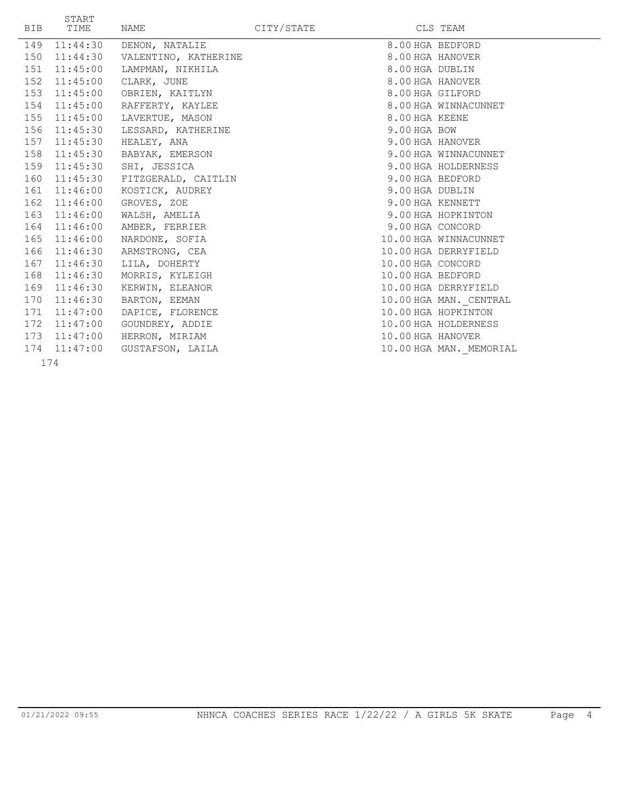|     | START<br>BIB TIME | NAME                              | CITY/STATE |                   | CLS TEAM                |
|-----|-------------------|-----------------------------------|------------|-------------------|-------------------------|
|     |                   | 149  11:44:30  DENON, NATALIE     |            | 8.00 HGA BEDFORD  |                         |
|     |                   | 150 11:44:30 VALENTINO, KATHERINE |            | 8.00 HGA HANOVER  |                         |
|     |                   |                                   |            | 8.00 HGA DUBLIN   |                         |
|     | 152 11:45:00      | CLARK, JUNE                       |            | 8.00 HGA HANOVER  |                         |
|     |                   |                                   |            | 8.00 HGA GILFORD  |                         |
|     |                   | 154 11:45:00 RAFFERTY, KAYLEE     |            |                   | 8.00 HGA WINNACUNNET    |
|     | 155 11:45:00      | LAVERTUE, MASON                   |            | 8.00 HGA KEENE    |                         |
|     | 156 11:45:30      | LESSARD, KATHERINE                |            | 9.00 HGA BOW      |                         |
|     |                   | 157  11:45:30  HEALEY, ANA        |            |                   | 9.00 HGA HANOVER        |
|     | 158 11:45:30      | BABYAK, EMERSON                   |            |                   | 9.00 HGA WINNACUNNET    |
|     |                   | 159  11:45:30  SHI, JESSICA       |            |                   | 9.00 HGA HOLDERNESS     |
|     |                   | 160 11:45:30 FITZGERALD, CAITLIN  |            | 9.00 HGA BEDFORD  |                         |
|     | 161 11:46:00      | KOSTICK, AUDREY                   |            | 9.00 HGA DUBLIN   |                         |
|     | 162 11:46:00      | GROVES, ZOE                       |            | 9.00 HGA KENNETT  |                         |
|     |                   | 163  11:46:00  WALSH, AMELIA      |            |                   | 9.00 HGA HOPKINTON      |
|     | 164 11:46:00      | AMBER, FERRIER                    |            | 9.00 HGA CONCORD  |                         |
|     | 165 11:46:00      | NARDONE, SOFIA                    |            |                   | 10.00 HGA WINNACUNNET   |
|     |                   | 166  11:46:30  ARMSTRONG, CEA     |            |                   | 10.00 HGA DERRYFIELD    |
|     |                   | 167 11:46:30 LILA, DOHERTY        |            | 10.00 HGA CONCORD |                         |
| 168 | 11:46:30          | MORRIS, KYLEIGH                   |            | 10.00 HGA BEDFORD |                         |
|     | 169 11:46:30      | KERWIN, ELEANOR                   |            |                   | 10.00 HGA DERRYFIELD    |
|     | 170 11:46:30      | BARTON, EEMAN                     |            |                   | 10.00 HGA MAN. CENTRAL  |
| 171 | 11:47:00          | DAPICE, FLORENCE                  |            |                   | 10.00 HGA HOPKINTON     |
|     |                   | 172 11:47:00 GOUNDREY, ADDIE      |            |                   | 10.00 HGA HOLDERNESS    |
|     |                   | 173  11:47:00  HERRON, MIRIAM     |            | 10.00 HGA HANOVER |                         |
|     | 174 11:47:00      | GUSTAFSON, LAILA                  |            |                   | 10.00 HGA MAN. MEMORIAL |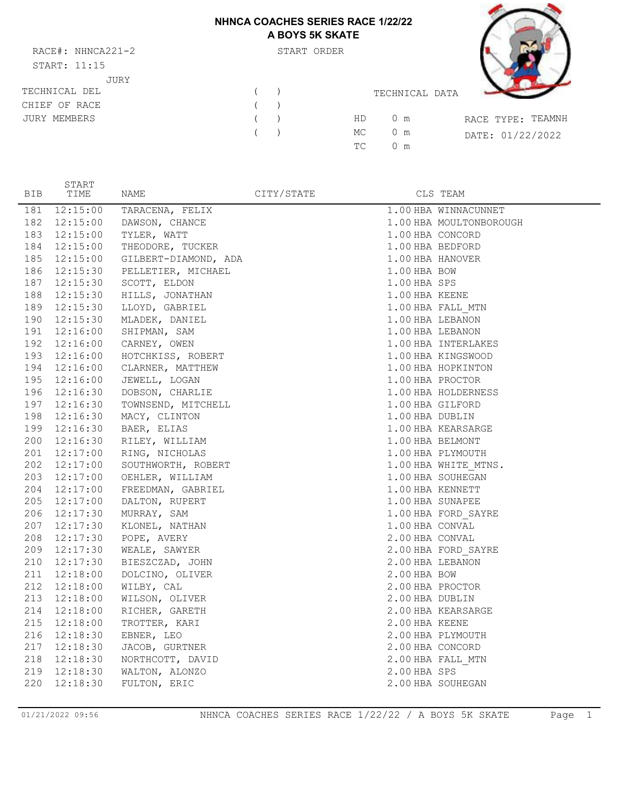## **NHNCA COACHES SERIES RACE 1/22/22 A BOYS 5K SKATE**

RACE#: NHNCA221-2 START ORDER START: 11:15 JURY TECHNICAL DE CHIEF OF RAC JURY MEMBERS



| JURY      |   |                     |                   |
|-----------|---|---------------------|-------------------|
| ΕL        | ( | TECHNICAL DATA      |                   |
| <b>CE</b> |   |                     |                   |
| .S        |   | HD<br>$0 \text{ m}$ | RACE TYPE: TEAMNH |
|           |   | MC<br>$0 \text{ m}$ | DATE: 01/22/2022  |
|           |   | TC<br>0 m           |                   |
|           |   |                     |                   |

| <b>BIB</b> | START<br>TIME | NAME                          | CITY/STATE |                  | CLS TEAM                |
|------------|---------------|-------------------------------|------------|------------------|-------------------------|
| 181        | 12:15:00      | TARACENA, FELIX               |            |                  | 1.00 HBA WINNACUNNET    |
| 182        | 12:15:00      | DAWSON, CHANCE                |            |                  | 1.00 HBA MOULTONBOROUGH |
| 183        | 12:15:00      | TYLER, WATT                   |            | 1.00 HBA CONCORD |                         |
| 184        | 12:15:00      | THEODORE, TUCKER              |            | 1.00 HBA BEDFORD |                         |
| 185        |               | 12:15:00 GILBERT-DIAMOND, ADA |            | 1.00 HBA HANOVER |                         |
| 186        |               | 12:15:30 PELLETIER, MICHAEL   |            | 1.00 HBA BOW     |                         |
| 187        | 12:15:30      | SCOTT, ELDON                  |            | 1.00 HBA SPS     |                         |
| 188        | 12:15:30      | HILLS, JONATHAN               |            | 1.00 HBA KEENE   |                         |
| 189        | 12:15:30      | LLOYD, GABRIEL                |            |                  | 1.00 HBA FALL MTN       |
| 190        |               | 12:15:30 MLADEK, DANIEL       |            | 1.00 HBA LEBANON |                         |
| 191        | 12:16:00      | SHIPMAN, SAM                  |            | 1.00 HBA LEBANON |                         |
| 192        |               | 12:16:00 CARNEY, OWEN         |            |                  | 1.00 HBA INTERLAKES     |
| 193        |               | 12:16:00 HOTCHKISS, ROBERT    |            |                  | 1.00 HBA KINGSWOOD      |
| 194        |               | 12:16:00 CLARNER, MATTHEW     |            |                  | 1.00 HBA HOPKINTON      |
| 195        | 12:16:00      | JEWELL, LOGAN                 |            | 1.00 HBA PROCTOR |                         |
| 196        | 12:16:30      | DOBSON, CHARLIE               |            |                  | 1.00 HBA HOLDERNESS     |
| 197        |               | 12:16:30 TOWNSEND, MITCHELL   |            | 1.00 HBA GILFORD |                         |
| 198        |               | 12:16:30 MACY, CLINTON        |            | 1.00 HBA DUBLIN  |                         |
| 199        | 12:16:30      | BAER, ELIAS                   |            |                  | 1.00 HBA KEARSARGE      |
| 200        |               | 12:16:30 RILEY, WILLIAM       |            | 1.00 HBA BELMONT |                         |
| 201        |               | 12:17:00 RING, NICHOLAS       |            |                  | 1.00 HBA PLYMOUTH       |
| 202        |               | 12:17:00 SOUTHWORTH, ROBERT   |            |                  | 1.00 HBA WHITE MTNS.    |
| 203        |               | 12:17:00 OEHLER, WILLIAM      |            |                  | 1.00 HBA SOUHEGAN       |
| 204        |               | 12:17:00 FREEDMAN, GABRIEL    |            | 1.00 HBA KENNETT |                         |
| 205        | 12:17:00      | DALTON, RUPERT                |            | 1.00 HBA SUNAPEE |                         |
| 206        |               | 12:17:30 MURRAY, SAM          |            |                  | 1.00 HBA FORD SAYRE     |
| 207        |               | 12:17:30 KLONEL, NATHAN       |            | 1.00 HBA CONVAL  |                         |
| 208        | 12:17:30      | POPE, AVERY                   |            | 2.00 HBA CONVAL  |                         |
| 209        |               | 12:17:30 WEALE, SAWYER        |            |                  | 2.00 HBA FORD SAYRE     |
| 210        |               | 12:17:30 BIESZCZAD, JOHN      |            | 2.00 HBA LEBANON |                         |
| 211        | 12:18:00      | DOLCINO, OLIVER               |            | 2.00 HBA BOW     |                         |
| 212        | 12:18:00      | WILBY, CAL                    |            | 2.00 HBA PROCTOR |                         |
| 213        | 12:18:00      | WILSON, OLIVER                |            | 2.00 HBA DUBLIN  |                         |
| 214        | 12:18:00      | RICHER, GARETH                |            |                  | 2.00 HBA KEARSARGE      |
| 215        | 12:18:00      | TROTTER, KARI                 |            | 2.00 HBA KEENE   |                         |
| 216        | 12:18:30      | EBNER, LEO                    |            |                  | 2.00 HBA PLYMOUTH       |
| 217        | 12:18:30      | JACOB, GURTNER                |            | 2.00 HBA CONCORD |                         |
| 218        | 12:18:30      | NORTHCOTT, DAVID              |            |                  | 2.00 HBA FALL MTN       |
| 219        | 12:18:30      | WALTON, ALONZO                |            | 2.00 HBA SPS     |                         |
| 220        | 12:18:30      | FULTON, ERIC                  |            |                  | 2.00 HBA SOUHEGAN       |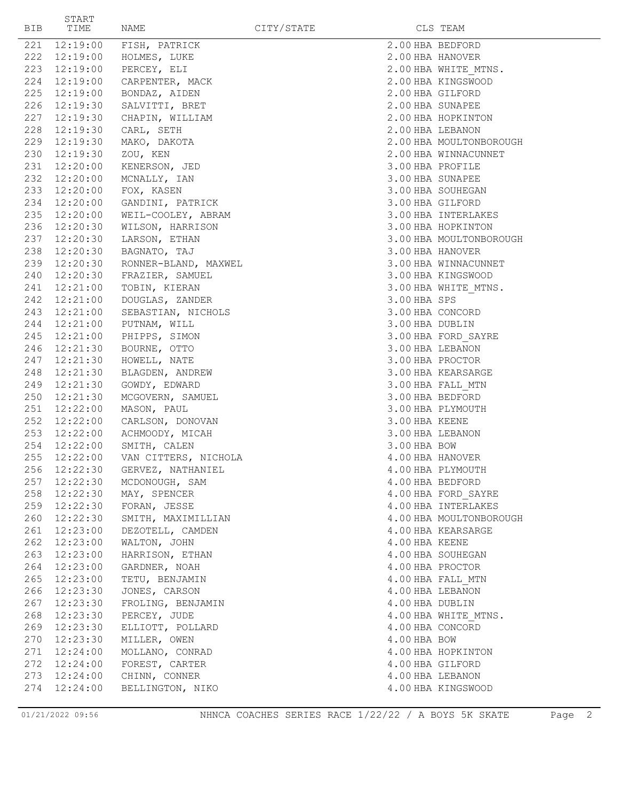| <b>BIB</b> | START                 |                                                                   | CITY/STATE |                 |                         |
|------------|-----------------------|-------------------------------------------------------------------|------------|-----------------|-------------------------|
|            | TIME                  | NAME                                                              |            |                 | CLS TEAM                |
| 221        |                       | 12:19:00 FISH, PATRICK                                            |            |                 | 2.00 HBA BEDFORD        |
|            |                       | 222 12:19:00 HOLMES, LUKE                                         |            |                 | 2.00 HBA HANOVER        |
| 223        |                       | $12:19:00$ PERCEY, ELI                                            |            |                 | 2.00 HBA WHITE MTNS.    |
|            |                       | 224 12:19:00 CARPENTER, MACK                                      |            |                 | 2.00 HBA KINGSWOOD      |
|            |                       | 225 12:19:00 BONDAZ, AIDEN                                        |            |                 | 2.00 HBA GILFORD        |
|            | 226 12:19:30          | SALVITTI, BRET                                                    |            |                 | 2.00 HBA SUNAPEE        |
|            |                       | 227 12:19:30 CHAPIN, WILLIAM                                      |            |                 | 2.00 HBA HOPKINTON      |
| 228        |                       | 12:19:30 CARL, SETH                                               |            |                 | 2.00 HBA LEBANON        |
|            |                       | 229 12:19:30 MAKO, DAKOTA                                         |            |                 | 2.00 HBA MOULTONBOROUGH |
|            | 230 12:19:30 ZOU, KEN |                                                                   |            |                 | 2.00 HBA WINNACUNNET    |
|            |                       | 231 12:20:00 KENERSON, JED                                        |            |                 | 3.00 HBA PROFILE        |
|            |                       | 232 12:20:00 MCNALLY, IAN                                         |            |                 | 3.00 HBA SUNAPEE        |
|            |                       | 233 12:20:00 FOX, KASEN                                           |            |                 | 3.00 HBA SOUHEGAN       |
|            |                       | 234 12:20:00 GANDINI, PATRICK                                     |            |                 | 3.00 HBA GILFORD        |
|            | 235 12:20:00          | WEIL-COOLEY, ABRAM                                                |            |                 | 3.00 HBA INTERLAKES     |
|            | 236 12:20:30          | WILSON, HARRISON                                                  |            |                 | 3.00 HBA HOPKINTON      |
|            |                       | 237 12:20:30 LARSON, ETHAN                                        |            |                 | 3.00 HBA MOULTONBOROUGH |
|            |                       | 238 12:20:30 BAGNATO, TAJ                                         |            |                 | 3.00 HBA HANOVER        |
|            |                       |                                                                   |            |                 | 3.00 HBA WINNACUNNET    |
|            |                       | 239 12:20:30 RONNER-BLAND, MAXWEL<br>240 12:20:30 FRAZIER, SAMUEL |            |                 | 3.00 HBA KINGSWOOD      |
|            | 241 12:21:00          | TOBIN, KIERAN                                                     |            |                 | 3.00 HBA WHITE MTNS.    |
|            |                       | 242 12:21:00 DOUGLAS, ZANDER                                      |            | 3.00 HBA SPS    |                         |
|            | 243 12:21:00          | SEBASTIAN, NICHOLS                                                |            |                 | 3.00 HBA CONCORD        |
|            |                       | 244 12:21:00 PUTNAM, WILL                                         |            | 3.00 HBA DUBLIN |                         |
|            |                       | 245 12:21:00 PHIPPS, SIMON                                        |            |                 | 3.00 HBA FORD SAYRE     |
|            |                       | 246 12:21:30 BOURNE, OTTO                                         |            |                 | 3.00 HBA LEBANON        |
|            |                       | 247 12:21:30 HOWELL, NATE                                         |            |                 | 3.00 HBA PROCTOR        |
| 248        | 12:21:30              | BLAGDEN, ANDREW                                                   |            |                 | 3.00 HBA KEARSARGE      |
|            | 249 12:21:30          | GOWDY, EDWARD                                                     |            |                 | 3.00 HBA FALL MTN       |
|            | 250 12:21:30          | MCGOVERN, SAMUEL                                                  |            |                 | 3.00 HBA BEDFORD        |
|            | 251 12:22:00          | MASON, PAUL                                                       |            |                 | 3.00 HBA PLYMOUTH       |
|            |                       | 252 12:22:00 CARLSON, DONOVAN                                     |            | 3.00 HBA KEENE  |                         |
|            |                       | 253 12:22:00 ACHMOODY, MICAH                                      |            |                 | 3.00 HBA LEBANON        |
|            |                       | 254 12:22:00 SMITH, CALEN                                         |            | 3.00 HBA BOW    |                         |
| 255        | 12:22:00              | VAN CITTERS, NICHOLA                                              |            |                 | 4.00 HBA HANOVER        |
|            |                       | 256 12:22:30 GERVEZ, NATHANIEL                                    |            |                 | 4.00 HBA PLYMOUTH       |
|            | 257 12:22:30          | MCDONOUGH, SAM                                                    |            |                 | 4.00 HBA BEDFORD        |
|            | 258 12:22:30          | MAY, SPENCER                                                      |            |                 | 4.00 HBA FORD SAYRE     |
|            |                       | 259 12:22:30 FORAN, JESSE                                         |            |                 | 4.00 HBA INTERLAKES     |
|            | 260 12:22:30          | SMITH, MAXIMILLIAN                                                |            |                 | 4.00 HBA MOULTONBOROUGH |
|            | 261 12:23:00          | DEZOTELL, CAMDEN                                                  |            |                 | 4.00 HBA KEARSARGE      |
|            | 262 12:23:00          | WALTON, JOHN                                                      |            | 4.00 HBA KEENE  |                         |
|            | 263 12:23:00          | HARRISON, ETHAN                                                   |            |                 | 4.00 HBA SOUHEGAN       |
|            | 264 12:23:00          | GARDNER, NOAH                                                     |            |                 | 4.00 HBA PROCTOR        |
|            | 265 12:23:00          | TETU, BENJAMIN                                                    |            |                 | 4.00 HBA FALL MTN       |
|            | 266 12:23:30          | JONES, CARSON                                                     |            |                 | 4.00 HBA LEBANON        |
|            | 267 12:23:30          | FROLING, BENJAMIN                                                 |            | 4.00 HBA DUBLIN |                         |
| 268        | 12:23:30              | PERCEY, JUDE                                                      |            |                 | 4.00 HBA WHITE MTNS.    |
|            | 269 12:23:30          | ELLIOTT, POLLARD                                                  |            |                 | 4.00 HBA CONCORD        |
|            | 270 12:23:30          | MILLER, OWEN                                                      |            | 4.00 HBA BOW    |                         |
|            | 271 12:24:00          | MOLLANO, CONRAD                                                   |            |                 | 4.00 HBA HOPKINTON      |
|            | 272 12:24:00          | FOREST, CARTER                                                    |            |                 | 4.00 HBA GILFORD        |
|            |                       | 273 12:24:00 CHINN, CONNER                                        |            |                 | 4.00 HBA LEBANON        |
| 274        | 12:24:00              | BELLINGTON, NIKO                                                  |            |                 | 4.00 HBA KINGSWOOD      |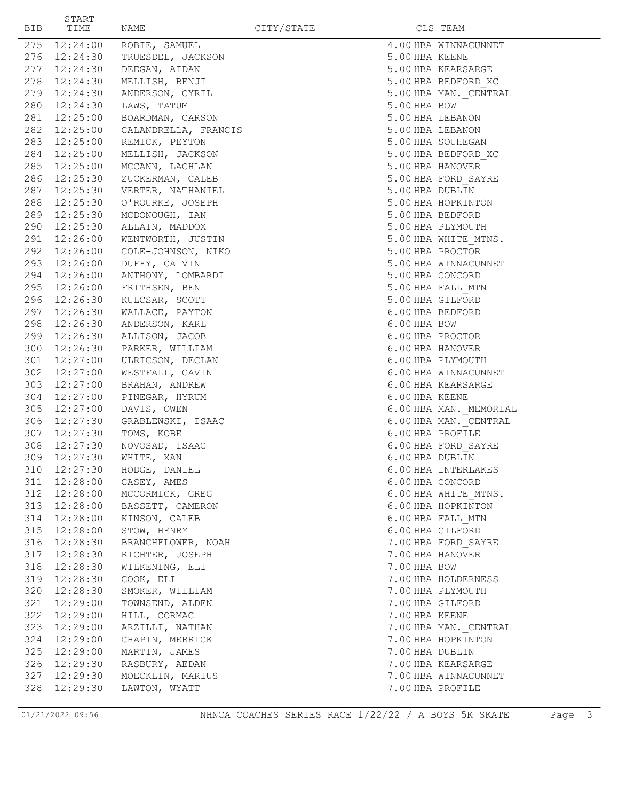| BIB | START<br>TIME                | NAME                            | CITY/STATE |                  | CLS TEAM               |
|-----|------------------------------|---------------------------------|------------|------------------|------------------------|
|     | 275 12:24:00                 | ROBIE, SAMUEL                   |            |                  | 4.00 HBA WINNACUNNET   |
|     | 276 12:24:30                 | TRUESDEL, JACKSON               |            | 5.00 HBA KEENE   |                        |
|     | 277 12:24:30                 | DEEGAN, AIDAN                   |            |                  | 5.00 HBA KEARSARGE     |
|     | 278 12:24:30                 | MELLISH, BENJI                  |            |                  | 5.00 HBA BEDFORD XC    |
|     | 279 12:24:30                 | ANDERSON, CYRIL                 |            |                  | 5.00 HBA MAN. CENTRAL  |
|     | 280 12:24:30                 | LAWS, TATUM                     |            | 5.00 HBA BOW     |                        |
|     | 281 12:25:00                 | BOARDMAN, CARSON                |            | 5.00 HBA LEBANON |                        |
|     | 282 12:25:00                 | CALANDRELLA, FRANCIS            |            | 5.00 HBA LEBANON |                        |
|     | 283 12:25:00                 | REMICK, PEYTON                  |            |                  | 5.00 HBA SOUHEGAN      |
|     | 284 12:25:00                 | MELLISH, JACKSON                |            |                  | 5.00 HBA BEDFORD XC    |
|     | 285 12:25:00                 | MCCANN, LACHLAN                 |            |                  | 5.00 HBA HANOVER       |
|     | 286 12:25:30                 | ZUCKERMAN, CALEB                |            |                  | 5.00 HBA FORD SAYRE    |
|     | 287 12:25:30                 | VERTER, NATHANIEL               |            | 5.00 HBA DUBLIN  |                        |
|     | 288 12:25:30                 | O'ROURKE, JOSEPH                |            |                  | 5.00 HBA HOPKINTON     |
|     | 289 12:25:30                 | MCDONOUGH, IAN                  |            | 5.00 HBA BEDFORD |                        |
|     | 290 12:25:30                 | ALLAIN, MADDOX                  |            |                  | 5.00 HBA PLYMOUTH      |
|     | 291 12:26:00                 | WENTWORTH, JUSTIN               |            |                  | 5.00 HBA WHITE MTNS.   |
|     | 292 12:26:00                 | COLE-JOHNSON, NIKO              |            | 5.00 HBA PROCTOR |                        |
|     | 293 12:26:00                 | DUFFY, CALVIN                   |            |                  | 5.00 HBA WINNACUNNET   |
|     | 294 12:26:00                 | ANTHONY, LOMBARDI               |            | 5.00 HBA CONCORD |                        |
|     | 295 12:26:00                 | FRITHSEN, BEN                   |            |                  | 5.00 HBA FALL MTN      |
|     | 296 12:26:30                 | KULCSAR, SCOTT                  |            | 5.00 HBA GILFORD |                        |
|     | 297 12:26:30                 | WALLACE, PAYTON                 |            | 6.00 HBA BEDFORD |                        |
|     | 298 12:26:30                 | ANDERSON, KARL                  |            | 6.00 HBA BOW     |                        |
|     | 299 12:26:30                 | ALLISON, JACOB                  |            | 6.00 HBA PROCTOR |                        |
|     | 300 12:26:30                 | PARKER, WILLIAM                 |            | 6.00 HBA HANOVER |                        |
|     | 301 12:27:00                 | ULRICSON, DECLAN                |            |                  | 6.00 HBA PLYMOUTH      |
|     | 302 12:27:00                 | WESTFALL, GAVIN                 |            |                  | 6.00 HBA WINNACUNNET   |
|     | 303 12:27:00                 | BRAHAN, ANDREW                  |            |                  | 6.00 HBA KEARSARGE     |
|     | 304 12:27:00                 | PINEGAR, HYRUM                  |            | 6.00 HBA KEENE   |                        |
|     | 305 12:27:00                 | DAVIS, OWEN                     |            |                  | 6.00 HBA MAN. MEMORIAL |
|     | 306 12:27:30<br>307 12:27:30 | GRABLEWSKI, ISAAC<br>TOMS, KOBE |            | 6.00 HBA PROFILE | 6.00 HBA MAN. CENTRAL  |
|     | 308 12:27:30                 |                                 |            |                  | 6.00 HBA FORD SAYRE    |
|     | 309 12:27:30                 | NOVOSAD, ISAAC<br>WHITE, XAN    |            | 6.00 HBA DUBLIN  |                        |
|     |                              | 310 12:27:30 HODGE, DANIEL      |            |                  | 6.00 HBA INTERLAKES    |
|     | 311 12:28:00                 | CASEY, AMES                     |            | 6.00 HBA CONCORD |                        |
|     | 312 12:28:00                 | MCCORMICK, GREG                 |            |                  | 6.00 HBA WHITE MTNS.   |
|     | 313 12:28:00                 | BASSETT, CAMERON                |            |                  | 6.00 HBA HOPKINTON     |
|     | 314 12:28:00                 | KINSON, CALEB                   |            |                  | 6.00 HBA FALL MTN      |
|     | 315 12:28:00                 | STOW, HENRY                     |            | 6.00 HBA GILFORD |                        |
|     | 316 12:28:30                 | BRANCHFLOWER, NOAH              |            |                  | 7.00 HBA FORD SAYRE    |
|     | 317 12:28:30                 | RICHTER, JOSEPH                 |            | 7.00 HBA HANOVER |                        |
|     | 318 12:28:30                 | WILKENING, ELI                  |            | 7.00 HBA BOW     |                        |
|     | 319 12:28:30                 | COOK, ELI                       |            |                  | 7.00 HBA HOLDERNESS    |
|     | 320 12:28:30                 | SMOKER, WILLIAM                 |            |                  | 7.00 HBA PLYMOUTH      |
|     | 321 12:29:00                 | TOWNSEND, ALDEN                 |            | 7.00 HBA GILFORD |                        |
|     | 322 12:29:00                 | HILL, CORMAC                    |            | 7.00 HBA KEENE   |                        |
|     | 323 12:29:00                 | ARZILLI, NATHAN                 |            |                  | 7.00 HBA MAN. CENTRAL  |
|     | 324 12:29:00                 | CHAPIN, MERRICK                 |            |                  | 7.00 HBA HOPKINTON     |
|     | 325 12:29:00                 | MARTIN, JAMES                   |            | 7.00 HBA DUBLIN  |                        |
|     | 326 12:29:30                 | RASBURY, AEDAN                  |            |                  | 7.00 HBA KEARSARGE     |
|     | 327 12:29:30                 | MOECKLIN, MARIUS                |            |                  | 7.00 HBA WINNACUNNET   |
|     | 328 12:29:30                 | LAWTON, WYATT                   |            | 7.00 HBA PROFILE |                        |
|     |                              |                                 |            |                  |                        |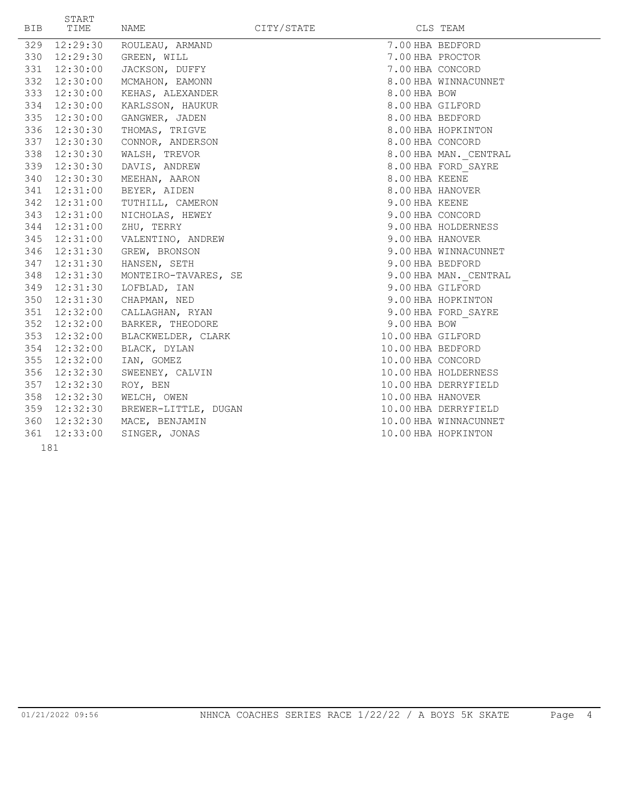| <b>BIB</b> | <b>START</b><br>TIME | NAME                 | CITY/STATE |                   | CLS TEAM              |
|------------|----------------------|----------------------|------------|-------------------|-----------------------|
| 329        | 12:29:30             | ROULEAU, ARMAND      |            |                   | 7.00 HBA BEDFORD      |
| 330        | 12:29:30             | GREEN, WILL          |            |                   | 7.00 HBA PROCTOR      |
| 331        | 12:30:00             | JACKSON, DUFFY       |            | 7.00 HBA CONCORD  |                       |
| 332        | 12:30:00             | MCMAHON, EAMONN      |            |                   | 8.00 HBA WINNACUNNET  |
| 333        | 12:30:00             | KEHAS, ALEXANDER     |            | 8.00 HBA BOW      |                       |
| 334        | 12:30:00             | KARLSSON, HAUKUR     |            | 8.00 HBA GILFORD  |                       |
| 335        | 12:30:00             | GANGWER, JADEN       |            | 8.00 HBA BEDFORD  |                       |
| 336        | 12:30:30             | THOMAS, TRIGVE       |            |                   | 8.00 HBA HOPKINTON    |
| 337        | 12:30:30             | CONNOR, ANDERSON     |            | 8.00 HBA CONCORD  |                       |
| 338        | 12:30:30             | WALSH, TREVOR        |            |                   | 8.00 HBA MAN. CENTRAL |
| 339        | 12:30:30             | DAVIS, ANDREW        |            |                   | 8.00 HBA FORD SAYRE   |
| 340        | 12:30:30             | MEEHAN, AARON        |            | 8.00 HBA KEENE    |                       |
| 341        | 12:31:00             | BEYER, AIDEN         |            | 8.00 HBA HANOVER  |                       |
| 342        | 12:31:00             | TUTHILL, CAMERON     |            | 9.00 HBA KEENE    |                       |
| 343        | 12:31:00             | NICHOLAS, HEWEY      |            | 9.00 HBA CONCORD  |                       |
| 344        | 12:31:00             | ZHU, TERRY           |            |                   | 9.00 HBA HOLDERNESS   |
| 345        | 12:31:00             | VALENTINO, ANDREW    |            | 9.00 HBA HANOVER  |                       |
| 346        | 12:31:30             | GREW, BRONSON        |            |                   | 9.00 HBA WINNACUNNET  |
| 347        | 12:31:30             | HANSEN, SETH         |            | 9.00 HBA BEDFORD  |                       |
| 348        | 12:31:30             | MONTEIRO-TAVARES, SE |            |                   | 9.00 HBA MAN. CENTRAL |
| 349        | 12:31:30             | LOFBLAD, IAN         |            | 9.00 HBA GILFORD  |                       |
| 350        | 12:31:30             | CHAPMAN, NED         |            |                   | 9.00 HBA HOPKINTON    |
| 351        | 12:32:00             | CALLAGHAN, RYAN      |            |                   | 9.00 HBA FORD SAYRE   |
| 352        | 12:32:00             | BARKER, THEODORE     |            | 9.00 HBA BOW      |                       |
| 353        | 12:32:00             | BLACKWELDER, CLARK   |            | 10.00 HBA GILFORD |                       |
| 354        | 12:32:00             | BLACK, DYLAN         |            | 10.00 HBA BEDFORD |                       |
| 355        | 12:32:00             | IAN, GOMEZ           |            | 10.00 HBA CONCORD |                       |
| 356        | 12:32:30             | SWEENEY, CALVIN      |            |                   | 10.00 HBA HOLDERNESS  |
| 357        | 12:32:30             | ROY, BEN             |            |                   | 10.00 HBA DERRYFIELD  |
| 358        | 12:32:30             | WELCH, OWEN          |            | 10.00 HBA HANOVER |                       |
| 359        | 12:32:30             | BREWER-LITTLE, DUGAN |            |                   | 10.00 HBA DERRYFIELD  |
| 360        | 12:32:30             | MACE, BENJAMIN       |            |                   | 10.00 HBA WINNACUNNET |
| 361        | 12:33:00             | SINGER, JONAS        |            |                   | 10.00 HBA HOPKINTON   |
|            | 181                  |                      |            |                   |                       |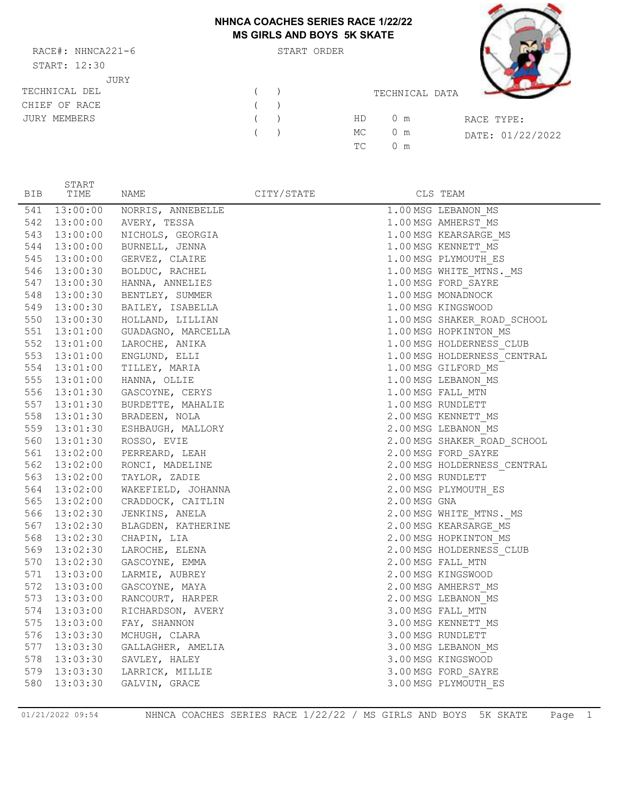## **NHNCA COACHES SERIES RACE 1/22/22 MS GIRLS AND BOYS 5K SKATE**

RACE#: NHNCA221-6 START ORDER START: 12:30 JURY TECHNICAL DEL CHIEF OF RACE JURY MEMBERS



| (<br>(  |    | TECHNICAL DATA |                  |
|---------|----|----------------|------------------|
| (       |    | HD 0 m         | RACE TYPE:       |
| $($ $)$ |    | MC 0 m         | DATE: 01/22/2022 |
|         | TC | 0 m            |                  |

| BIB | START<br>TIME | NAME                           | CITY/STATE |              | CLS TEAM                    |
|-----|---------------|--------------------------------|------------|--------------|-----------------------------|
|     | 541 13:00:00  | NORRIS, ANNEBELLE              |            |              | 1.00 MSG LEBANON MS         |
|     | 542 13:00:00  | AVERY, TESSA                   |            |              | 1.00 MSG AMHERST MS         |
|     | 543 13:00:00  | NICHOLS, GEORGIA               |            |              | 1.00 MSG KEARSARGE MS       |
|     | 544 13:00:00  | BURNELL, JENNA                 |            |              | 1.00 MSG KENNETT MS         |
|     | 545 13:00:00  | GERVEZ, CLAIRE                 |            |              | 1.00 MSG PLYMOUTH ES        |
|     | 546 13:00:30  | BOLDUC, RACHEL                 |            |              | 1.00 MSG WHITE MTNS. MS     |
|     | 547 13:00:30  | HANNA, ANNELIES                |            |              | 1.00 MSG FORD_SAYRE         |
|     | 548 13:00:30  | BENTLEY, SUMMER                |            |              | 1.00 MSG MONADNOCK          |
|     | 549 13:00:30  | BAILEY, ISABELLA               |            |              | 1.00 MSG KINGSWOOD          |
|     | 550 13:00:30  | HOLLAND, LILLIAN               |            |              | 1.00 MSG SHAKER ROAD SCHOOL |
|     | 551 13:01:00  | GUADAGNO, MARCELLA             |            |              | 1.00 MSG HOPKINTON MS       |
|     | 552 13:01:00  | LAROCHE, ANIKA                 |            |              | 1.00 MSG HOLDERNESS CLUB    |
|     | 553 13:01:00  | ENGLUND, ELLI                  |            |              | 1.00 MSG HOLDERNESS_CENTRAL |
|     | 554 13:01:00  | TILLEY, MARIA                  |            |              | 1.00 MSG GILFORD MS         |
|     | 555 13:01:00  | HANNA, OLLIE                   |            |              | 1.00 MSG LEBANON MS         |
|     | 556 13:01:30  | GASCOYNE, CERYS                |            |              | 1.00 MSG FALL MTN           |
|     | 557 13:01:30  | BURDETTE, MAHALIE              |            |              | 1.00 MSG RUNDLETT           |
|     | 558 13:01:30  | BRADEEN, NOLA                  |            |              | 2.00 MSG KENNETT_MS         |
|     |               | 559 13:01:30 ESHBAUGH, MALLORY |            |              | 2.00 MSG LEBANON MS         |
|     | 560 13:01:30  | ROSSO, EVIE                    |            |              | 2.00 MSG SHAKER_ROAD_SCHOOL |
|     | 561 13:02:00  | PERREARD, LEAH                 |            |              | 2.00 MSG FORD SAYRE         |
|     | 562 13:02:00  | RONCI, MADELINE                |            |              | 2.00 MSG HOLDERNESS_CENTRAL |
|     | 563 13:02:00  | TAYLOR, ZADIE                  |            |              | 2.00 MSG RUNDLETT           |
|     | 564 13:02:00  | WAKEFIELD, JOHANNA             |            |              | 2.00 MSG PLYMOUTH ES        |
|     | 565 13:02:00  | CRADDOCK, CAITLIN              |            | 2.00 MSG GNA |                             |
|     | 566 13:02:30  | JENKINS, ANELA                 |            |              | 2.00 MSG WHITE_MTNS._MS     |
|     | 567 13:02:30  | BLAGDEN, KATHERINE             |            |              | 2.00 MSG KEARSARGE MS       |
|     | 568 13:02:30  | CHAPIN, LIA                    |            |              | 2.00 MSG HOPKINTON MS       |
|     | 569 13:02:30  | LAROCHE, ELENA                 |            |              | 2.00 MSG HOLDERNESS CLUB    |
|     | 570 13:02:30  | GASCOYNE, EMMA                 |            |              | 2.00 MSG FALL MTN           |
| 571 | 13:03:00      | LARMIE, AUBREY                 |            |              | 2.00 MSG KINGSWOOD          |
|     | 572 13:03:00  | GASCOYNE, MAYA                 |            |              | 2.00 MSG AMHERST MS         |
|     | 573 13:03:00  | RANCOURT, HARPER               |            |              | 2.00 MSG LEBANON MS         |
|     | 574 13:03:00  | RICHARDSON, AVERY              |            |              | 3.00 MSG FALL MTN           |
| 575 | 13:03:00      | FAY, SHANNON                   |            |              | 3.00 MSG KENNETT MS         |
|     | 576 13:03:30  | MCHUGH, CLARA                  |            |              | 3.00 MSG RUNDLETT           |
|     | 577 13:03:30  | GALLAGHER, AMELIA              |            |              | 3.00 MSG LEBANON MS         |
|     | 578 13:03:30  | SAVLEY, HALEY                  |            |              | 3.00 MSG KINGSWOOD          |
|     |               | 579 13:03:30 LARRICK, MILLIE   |            |              | 3.00 MSG FORD_SAYRE         |
| 580 | 13:03:30      | GALVIN, GRACE                  |            |              | 3.00 MSG PLYMOUTH ES        |

01/21/2022 09:54 NHNCA COACHES SERIES RACE 1/22/22 / MS GIRLS AND BOYS 5K SKATE Page 1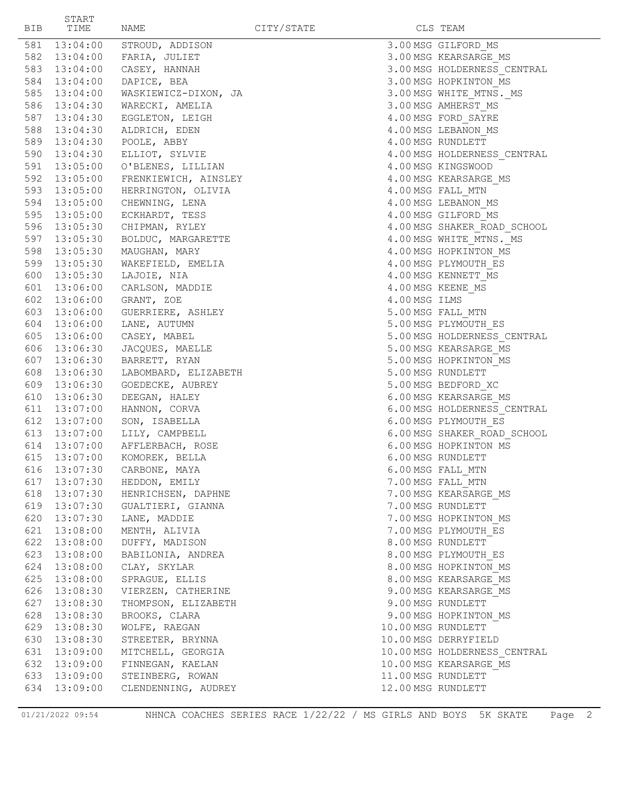| BIB | START<br>TIME | NAME                              | CITY/STATE |                    | CLS TEAM                     |
|-----|---------------|-----------------------------------|------------|--------------------|------------------------------|
|     |               | 581  13:04:00  STROUD, ADDISON    |            |                    | 3.00 MSG GILFORD MS          |
|     |               | 582 13:04:00 FARIA, JULIET        |            |                    | 3.00 MSG KEARSARGE MS        |
|     | 583 13:04:00  | CASEY, HANNAH                     |            |                    | 3.00 MSG HOLDERNESS CENTRAL  |
|     | 584 13:04:00  | DAPICE, BEA                       |            |                    | 3.00 MSG HOPKINTON MS        |
|     | 585 13:04:00  | WASKIEWICZ-DIXON, JA              |            |                    | 3.00 MSG WHITE MTNS. MS      |
|     | 586 13:04:30  | WARECKI, AMELIA                   |            |                    | 3.00 MSG AMHERST MS          |
|     | 587 13:04:30  | EGGLETON, LEIGH                   |            |                    | 4.00 MSG FORD SAYRE          |
|     | 588 13:04:30  | ALDRICH, EDEN                     |            |                    | 4.00 MSG LEBANON MS          |
|     | 589 13:04:30  | POOLE, ABBY                       |            |                    | 4.00 MSG RUNDLETT            |
|     | 590 13:04:30  | ELLIOT, SYLVIE                    |            |                    | 4.00 MSG HOLDERNESS CENTRAL  |
|     | 591 13:05:00  | O'BLENES, LILLIAN                 |            |                    | 4.00 MSG KINGSWOOD           |
|     |               | 592 13:05:00 FRENKIEWICH, AINSLEY |            |                    | 4.00 MSG KEARSARGE MS        |
|     | 593 13:05:00  | HERRINGTON, OLIVIA                |            |                    | 4.00 MSG FALL MTN            |
|     | 594 13:05:00  | CHEWNING, LENA                    |            |                    | 4.00 MSG LEBANON MS          |
|     | 595 13:05:00  | ECKHARDT, TESS                    |            |                    | 4.00 MSG GILFORD MS          |
|     | 596 13:05:30  | CHIPMAN, RYLEY                    |            |                    | 4.00 MSG SHAKER ROAD SCHOOL  |
|     | 597 13:05:30  | BOLDUC, MARGARETTE                |            |                    | 4.00 MSG WHITE MTNS. MS      |
|     | 598 13:05:30  | MAUGHAN, MARY                     |            |                    | 4.00 MSG HOPKINTON MS        |
|     | 599 13:05:30  | WAKEFIELD, EMELIA                 |            |                    | 4.00 MSG PLYMOUTH ES         |
|     | 600 13:05:30  | LAJOIE, NIA                       |            |                    | 4.00 MSG KENNETT MS          |
|     | 601 13:06:00  | CARLSON, MADDIE                   |            |                    | 4.00 MSG KEENE MS            |
|     | 602 13:06:00  | GRANT, ZOE                        |            | 4.00 MSG ILMS      |                              |
|     | 603 13:06:00  | GUERRIERE, ASHLEY                 |            |                    | 5.00 MSG FALL MTN            |
|     | 604 13:06:00  | LANE, AUTUMN                      |            |                    | 5.00 MSG PLYMOUTH ES         |
|     | 605 13:06:00  | CASEY, MABEL                      |            |                    | 5.00 MSG HOLDERNESS CENTRAL  |
|     | 606 13:06:30  | JACQUES, MAELLE                   |            |                    | 5.00 MSG KEARSARGE MS        |
|     | 607 13:06:30  | BARRETT, RYAN                     |            |                    | 5.00 MSG HOPKINTON MS        |
|     | 608 13:06:30  | LABOMBARD, ELIZABETH              |            |                    | 5.00 MSG RUNDLETT            |
|     | 609 13:06:30  | GOEDECKE, AUBREY                  |            |                    | 5.00 MSG BEDFORD XC          |
|     | 610 13:06:30  | DEEGAN, HALEY                     |            |                    | 6.00 MSG KEARSARGE MS        |
|     | 611 13:07:00  | HANNON, CORVA                     |            |                    | 6.00 MSG HOLDERNESS CENTRAL  |
|     | 612 13:07:00  | SON, ISABELLA                     |            |                    | 6.00 MSG PLYMOUTH ES         |
|     | 613 13:07:00  | LILY, CAMPBELL                    |            |                    | 6.00 MSG SHAKER ROAD SCHOOL  |
|     |               | 614 13:07:00 AFFLERBACH, ROSE     |            |                    | 6.00 MSG HOPKINTON MS        |
| 615 | 13:07:00      | KOMOREK, BELLA                    |            |                    | 6.00 MSG RUNDLETT            |
|     |               | 616  13:07:30  CARBONE, MAYA      |            |                    | 6.00 MSG FALL MTN            |
|     | 617 13:07:30  | HEDDON, EMILY                     |            |                    | 7.00 MSG FALL MTN            |
|     | 618 13:07:30  | HENRICHSEN, DAPHNE                |            |                    | 7.00 MSG KEARSARGE MS        |
|     | 619 13:07:30  | GUALTIERI, GIANNA                 |            |                    | 7.00 MSG RUNDLETT            |
|     | 620 13:07:30  | LANE, MADDIE                      |            |                    | 7.00 MSG HOPKINTON MS        |
|     | 621 13:08:00  | MENTH, ALIVIA                     |            |                    | 7.00 MSG PLYMOUTH ES         |
|     | 622 13:08:00  | DUFFY, MADISON                    |            |                    | 8.00 MSG RUNDLETT            |
|     | 623 13:08:00  | BABILONIA, ANDREA                 |            |                    | 8.00 MSG PLYMOUTH ES         |
|     | 624 13:08:00  | CLAY, SKYLAR                      |            |                    | 8.00 MSG HOPKINTON MS        |
|     | 625 13:08:00  | SPRAGUE, ELLIS                    |            |                    | 8.00 MSG KEARSARGE MS        |
|     | 626 13:08:30  | VIERZEN, CATHERINE                |            |                    | 9.00 MSG KEARSARGE MS        |
|     | 627 13:08:30  | THOMPSON, ELIZABETH               |            |                    | 9.00 MSG RUNDLETT            |
|     | 628 13:08:30  | BROOKS, CLARA                     |            |                    | 9.00 MSG HOPKINTON MS        |
|     | 629 13:08:30  | WOLFE, RAEGAN                     |            |                    | 10.00 MSG RUNDLETT           |
|     | 630 13:08:30  | STREETER, BRYNNA                  |            |                    | 10.00 MSG DERRYFIELD         |
|     | 631 13:09:00  | MITCHELL, GEORGIA                 |            |                    | 10.00 MSG HOLDERNESS CENTRAL |
|     | 632 13:09:00  | FINNEGAN, KAELAN                  |            |                    | 10.00 MSG KEARSARGE MS       |
|     | 633 13:09:00  | STEINBERG, ROWAN                  |            |                    | 11.00 MSG RUNDLETT           |
| 634 | 13:09:00      | CLENDENNING, AUDREY               |            | 12.00 MSG RUNDLETT |                              |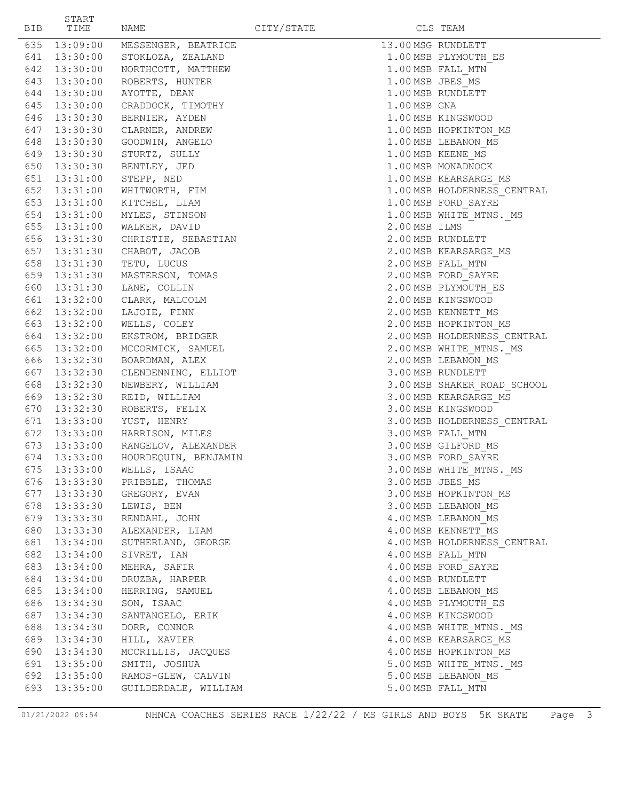| BIB | START<br>TIME | NAME                                                       | CITY/STATE   | CLS TEAM                                         |
|-----|---------------|------------------------------------------------------------|--------------|--------------------------------------------------|
|     |               |                                                            |              |                                                  |
| 635 |               | 13:09:00 MESSENGER, BEATRICE                               |              | 13.00 MSG RUNDLETT                               |
|     |               | 641 13:30:00 STOKLOZA, ZEALAND                             |              | 1.00 MSB PLYMOUTH ES                             |
|     |               | 642 13:30:00 NORTHCOTT, MATTHEW                            |              | 1.00 MSB FALL MTN                                |
|     |               | 643 13:30:00 ROBERTS, HUNTER                               |              | 1.00 MSB JBES MS                                 |
|     |               | 644 13:30:00 AYOTTE, DEAN                                  |              | 1.00 MSB RUNDLETT                                |
|     |               | 645 13:30:00 CRADDOCK, TIMOTHY                             | 1.00 MSB GNA |                                                  |
|     |               | 646 13:30:30 BERNIER, AYDEN                                |              | 1.00 MSB KINGSWOOD                               |
|     |               | 647 13:30:30 CLARNER, ANDREW                               |              | 1.00 MSB HOPKINTON MS                            |
|     |               | 648 13:30:30 GOODWIN, ANGELO                               |              | 1.00 MSB LEBANON MS                              |
|     |               | 649 13:30:30 STURTZ, SULLY                                 |              | 1.00 MSB KEENE MS                                |
|     |               | 650 13:30:30 BENTLEY, JED                                  |              | 1.00 MSB MONADNOCK                               |
|     |               | 651 13:31:00 STEPP, NED                                    |              | 1.00 MSB KEARSARGE MS                            |
|     |               | 652 13:31:00 WHITWORTH, FIM                                |              | 1.00 MSB HOLDERNESS CENTRAL                      |
|     |               | 653 13:31:00 KITCHEL, LIAM                                 |              | 1.00 MSB FORD SAYRE                              |
|     |               | 654 13:31:00 MYLES, STINSON                                |              | 1.00 MSB WHITE MTNS. MS                          |
|     |               | 655 13:31:00 WALKER, DAVID                                 |              | 2.00 MSB ILMS                                    |
|     |               | 656 13:31:30 CHRISTIE, SEBASTIAN                           |              | 2.00 MSB RUNDLETT                                |
|     |               | 657 13:31:30 CHABOT, JACOB                                 |              | 2.00 MSB KEARSARGE MS                            |
|     |               | 658 13:31:30 TETU, LUCUS                                   |              | 2.00 MSB FALL MTN                                |
|     |               | 659 13:31:30 MASTERSON, TOMAS                              |              | 2.00 MSB FORD SAYRE                              |
|     |               | 660 13:31:30 LANE, COLLIN                                  |              | 2.00 MSB PLYMOUTH ES                             |
|     |               | 661 13:32:00 CLARK, MALCOLM                                |              | 2.00 MSB KINGSWOOD                               |
|     |               | 662 13:32:00 LAJOIE, FINN                                  |              | 2.00 MSB KENNETT MS                              |
|     |               | 663 13:32:00 WELLS, COLEY                                  |              | 2.00 MSB HOPKINTON MS                            |
|     |               | 664 13:32:00 EKSTROM, BRIDGER                              |              | 2.00 MSB HOLDERNESS CENTRAL                      |
|     |               | 665 13:32:00 MCCORMICK, SAMUEL                             |              | 2.00 MSB WHITE MTNS. MS                          |
|     |               | 666 13:32:30 BOARDMAN, ALEX                                |              | 2.00 MSB LEBANON MS                              |
|     |               | 667 13:32:30 CLENDENNING, ELLIOT                           |              | 3.00 MSB RUNDLETT                                |
|     |               | 668 13:32:30 NEWBERY, WILLIAM                              |              | 3.00 MSB SHAKER ROAD SCHOOL                      |
|     |               | 669 13:32:30 REID, WILLIAM                                 |              | 3.00 MSB KEARSARGE MS                            |
|     |               | 670 13:32:30 ROBERTS, FELIX                                |              | 3.00 MSB KINGSWOOD                               |
|     |               | 671 13:33:00 YUST, HENRY                                   |              | 3.00 MSB HOLDERNESS CENTRAL                      |
|     |               | 672 13:33:00 HARRISON, MILES                               |              | 3.00 MSB FALL MTN                                |
|     |               | 673 13:33:00 RANGELOV, ALEXANDER                           |              | 3.00 MSB GILFORD MS                              |
| 674 | 13:33:00      | HOURDEQUIN, BENJAMIN                                       |              | 3.00 MSB FORD SAYRE                              |
|     |               | 675 13:33:00 WELLS, ISAAC                                  |              | 3.00 MSB WHITE MTNS. MS                          |
|     |               | 676 13:33:30 PRIBBLE, THOMAS<br>677 13:33:30 GREGORY, EVAN |              | 3.00 MSB JBES MS                                 |
|     |               | 678 13:33:30 LEWIS, BEN                                    |              | 3.00 MSB HOPKINTON MS<br>3.00 MSB LEBANON MS     |
|     |               | 679 13:33:30 RENDAHL, JOHN                                 |              | 4.00 MSB LEBANON MS                              |
|     |               | 680 13:33:30 ALEXANDER, LIAM                               |              | 4.00 MSB KENNETT MS                              |
|     |               | 681 13:34:00 SUTHERLAND, GEORGE                            |              |                                                  |
|     |               | 682 13:34:00 SIVRET, IAN                                   |              | 4.00 MSB HOLDERNESS CENTRAL<br>4.00 MSB FALL MTN |
|     | 683 13:34:00  | MEHRA, SAFIR                                               |              | 4.00 MSB FORD SAYRE                              |
|     | 684 13:34:00  |                                                            |              |                                                  |
|     | 685 13:34:00  | DRUZBA, HARPER<br>HERRING, SAMUEL                          |              | 4.00 MSB RUNDLETT<br>4.00 MSB LEBANON MS         |
|     | 686 13:34:30  |                                                            |              | 4.00 MSB PLYMOUTH ES                             |
|     | 687 13:34:30  | SON, ISAAC<br>SANTANGELO, ERIK                             |              | 4.00 MSB KINGSWOOD                               |
|     | 688 13:34:30  | DORR, CONNOR                                               |              | 4.00 MSB WHITE MTNS. MS                          |
|     | 689 13:34:30  | HILL, XAVIER                                               |              | 4.00 MSB KEARSARGE MS                            |
|     | 690 13:34:30  | MCCRILLIS, JACQUES                                         |              | 4.00 MSB HOPKINTON MS                            |
|     |               | 691 13:35:00 SMITH, JOSHUA                                 |              | 5.00 MSB WHITE MTNS. MS                          |
|     |               | 692 13:35:00 RAMOS-GLEW, CALVIN                            |              | 5.00 MSB LEBANON MS                              |
| 693 | 13:35:00      | GUILDERDALE, WILLIAM                                       |              | 5.00 MSB FALL MTN                                |
|     |               |                                                            |              |                                                  |

 $\overline{\phantom{0}}$ 

01/21/2022 09:54 NHNCA COACHES SERIES RACE 1/22/22 / MS GIRLS AND BOYS 5K SKATE Page 3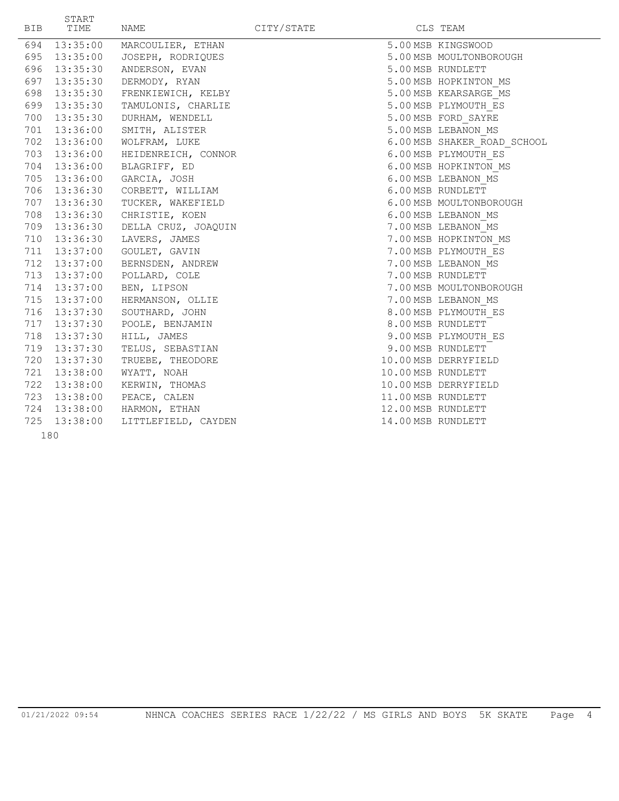| <b>BIB</b> | START<br>TIME    | NAME                | CITY/STATE |                    | CLS TEAM                    |
|------------|------------------|---------------------|------------|--------------------|-----------------------------|
| 694        | 13:35:00         | MARCOULIER, ETHAN   |            |                    | 5.00 MSB KINGSWOOD          |
|            | 695 13:35:00     | JOSEPH, RODRIQUES   |            |                    | 5.00 MSB MOULTONBOROUGH     |
| 696        | 13:35:30         | ANDERSON, EVAN      |            |                    | 5.00 MSB RUNDLETT           |
| 697        | 13:35:30         | DERMODY, RYAN       |            |                    | 5.00 MSB HOPKINTON MS       |
|            | 698 13:35:30     | FRENKIEWICH, KELBY  |            |                    | 5.00 MSB KEARSARGE MS       |
|            | 699 13:35:30     | TAMULONIS, CHARLIE  |            |                    | 5.00 MSB PLYMOUTH ES        |
|            | 700 13:35:30     | DURHAM, WENDELL     |            |                    | 5.00 MSB FORD SAYRE         |
|            | 701 13:36:00     | SMITH, ALISTER      |            |                    | 5.00 MSB LEBANON MS         |
|            | 702 13:36:00     | WOLFRAM, LUKE       |            |                    | 6.00 MSB SHAKER ROAD_SCHOOL |
|            | 703 13:36:00     | HEIDENREICH, CONNOR |            |                    | 6.00 MSB PLYMOUTH ES        |
|            | 704 13:36:00     | BLAGRIFF, ED        |            |                    | 6.00 MSB HOPKINTON MS       |
|            | 705 13:36:00     | GARCIA, JOSH        |            |                    | 6.00 MSB LEBANON MS         |
|            | 706 13:36:30     | CORBETT, WILLIAM    |            |                    | 6.00 MSB RUNDLETT           |
|            | 707 13:36:30     | TUCKER, WAKEFIELD   |            |                    | 6.00 MSB MOULTONBOROUGH     |
| 708        | 13:36:30         | CHRISTIE, KOEN      |            |                    | 6.00 MSB LEBANON MS         |
|            | 709 13:36:30     | DELLA CRUZ, JOAQUIN |            |                    | 7.00 MSB LEBANON MS         |
|            | 710 13:36:30     | LAVERS, JAMES       |            |                    | 7.00 MSB HOPKINTON MS       |
|            | 711 13:37:00     | GOULET, GAVIN       |            |                    | 7.00 MSB PLYMOUTH ES        |
|            | 712 13:37:00     | BERNSDEN, ANDREW    |            |                    | 7.00 MSB LEBANON MS         |
|            | 713 13:37:00     | POLLARD, COLE       |            |                    | 7.00 MSB RUNDLETT           |
|            | 714 13:37:00     | BEN, LIPSON         |            |                    | 7.00 MSB MOULTONBOROUGH     |
|            | 715 13:37:00     | HERMANSON, OLLIE    |            |                    | 7.00 MSB LEBANON MS         |
|            | 716 13:37:30     | SOUTHARD, JOHN      |            |                    | 8.00 MSB PLYMOUTH ES        |
|            | 717 13:37:30     | POOLE, BENJAMIN     |            |                    | 8.00 MSB RUNDLETT           |
|            | 718 13:37:30     | HILL, JAMES         |            |                    | 9.00 MSB PLYMOUTH ES        |
|            | 719 13:37:30     | TELUS, SEBASTIAN    |            |                    | 9.00 MSB RUNDLETT           |
|            | 720 13:37:30     | TRUEBE, THEODORE    |            |                    | 10.00 MSB DERRYFIELD        |
| 721        | 13:38:00         | WYATT, NOAH         |            | 10.00 MSB RUNDLETT |                             |
|            | 722 13:38:00     | KERWIN, THOMAS      |            |                    | 10.00 MSB DERRYFIELD        |
|            | 723 13:38:00     | PEACE, CALEN        |            | 11.00 MSB RUNDLETT |                             |
|            | 724 13:38:00     | HARMON, ETHAN       |            | 12.00 MSB RUNDLETT |                             |
| 725        | 13:38:00         | LITTLEFIELD, CAYDEN |            | 14.00 MSB RUNDLETT |                             |
|            | 1.8 <sub>0</sub> |                     |            |                    |                             |

 $\overline{\phantom{a}}$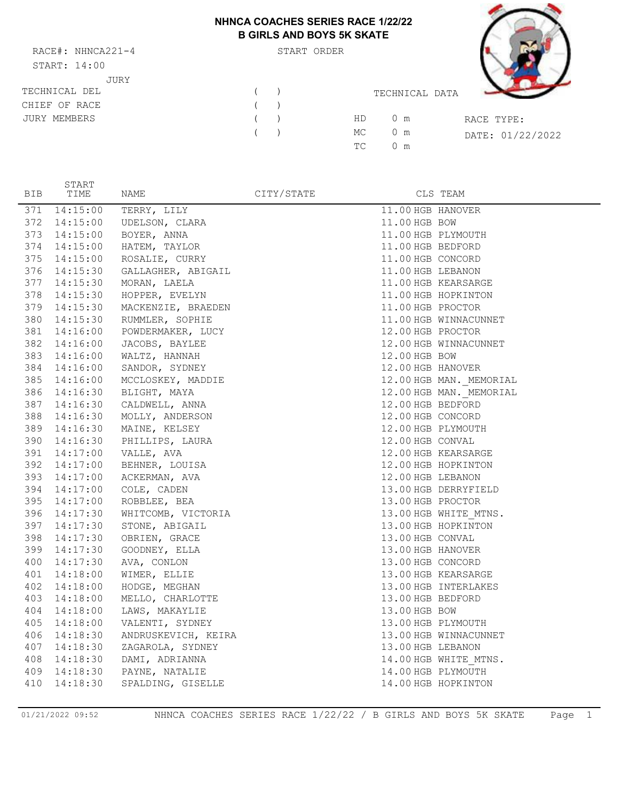## **NHNCA COACHES SERIES RACE 1/22/22 B GIRLS AND BOYS 5K SKATE**

RACE#: NHNCA221-4 START ORDER START: 14:00 JURY TECHNICAL DEL CHIEF OF RACE JURY MEMBERS



| JURY |            |   |     |                |                  |
|------|------------|---|-----|----------------|------------------|
|      |            | ( |     | TECHNICAL DATA |                  |
|      |            |   |     |                |                  |
|      | $\sqrt{2}$ |   | HD. | 0 m            | RACE TYPE:       |
|      | $\sqrt{2}$ |   | MC  | 0 m            | DATE: 01/22/2022 |
|      |            |   | TC. | 0 m            |                  |

| BIB | START<br>TIME | NAME                         | CITY/STATE |                    | CLS TEAM                |
|-----|---------------|------------------------------|------------|--------------------|-------------------------|
|     | 371 14:15:00  | TERRY, LILY                  |            | 11.00 HGB HANOVER  |                         |
|     | 372 14:15:00  | UDELSON, CLARA               |            | 11.00 HGB BOW      |                         |
|     |               | 373 14:15:00 BOYER, ANNA     |            | 11.00 HGB PLYMOUTH |                         |
|     |               | 374 14:15:00 HATEM, TAYLOR   |            | 11.00 HGB BEDFORD  |                         |
|     | 375 14:15:00  | ROSALIE, CURRY               |            | 11.00 HGB CONCORD  |                         |
|     | 376 14:15:30  | GALLAGHER, ABIGAIL           |            | 11.00 HGB LEBANON  |                         |
|     | 377 14:15:30  | MORAN, LAELA                 |            |                    | 11.00 HGB KEARSARGE     |
|     |               | 378 14:15:30 HOPPER, EVELYN  |            |                    | 11.00 HGB HOPKINTON     |
|     | 379 14:15:30  | MACKENZIE, BRAEDEN           |            | 11.00 HGB PROCTOR  |                         |
|     | 380 14:15:30  | RUMMLER, SOPHIE              |            |                    | 11.00 HGB WINNACUNNET   |
|     | 381 14:16:00  | POWDERMAKER, LUCY            |            | 12.00 HGB PROCTOR  |                         |
|     | 382 14:16:00  | JACOBS, BAYLEE               |            |                    | 12.00 HGB WINNACUNNET   |
|     | 383 14:16:00  | WALTZ, HANNAH                |            | 12.00 HGB BOW      |                         |
|     | 384 14:16:00  | SANDOR, SYDNEY               |            | 12.00 HGB HANOVER  |                         |
|     | 385 14:16:00  | MCCLOSKEY, MADDIE            |            |                    | 12.00 HGB MAN. MEMORIAL |
|     | 386 14:16:30  | BLIGHT, MAYA                 |            |                    | 12.00 HGB MAN. MEMORIAL |
|     | 387 14:16:30  | CALDWELL, ANNA               |            | 12.00 HGB BEDFORD  |                         |
|     | 388 14:16:30  | MOLLY, ANDERSON              |            | 12.00 HGB CONCORD  |                         |
|     |               | 389 14:16:30 MAINE, KELSEY   |            | 12.00 HGB PLYMOUTH |                         |
|     |               | 390 14:16:30 PHILLIPS, LAURA |            | 12.00 HGB CONVAL   |                         |
|     |               | 391 14:17:00 VALLE, AVA      |            |                    | 12.00 HGB KEARSARGE     |
|     |               | 392 14:17:00 BEHNER, LOUISA  |            |                    | 12.00 HGB HOPKINTON     |
|     | 393 14:17:00  | ACKERMAN, AVA                |            | 12.00 HGB LEBANON  |                         |
|     |               | 394 14:17:00 COLE, CADEN     |            |                    | 13.00 HGB DERRYFIELD    |
|     |               | 395 14:17:00 ROBBLEE, BEA    |            | 13.00 HGB PROCTOR  |                         |
|     | 396 14:17:30  | WHITCOMB, VICTORIA           |            |                    | 13.00 HGB WHITE MTNS.   |
|     | 397 14:17:30  | STONE, ABIGAIL               |            |                    | 13.00 HGB HOPKINTON     |
|     | 398 14:17:30  | OBRIEN, GRACE                |            | 13.00 HGB CONVAL   |                         |
|     | 399 14:17:30  | GOODNEY, ELLA                |            | 13.00 HGB HANOVER  |                         |
|     | 400 14:17:30  | AVA, CONLON                  |            | 13.00 HGB CONCORD  |                         |
|     | 401 14:18:00  | WIMER, ELLIE                 |            |                    | 13.00 HGB KEARSARGE     |
|     | 402 14:18:00  | HODGE, MEGHAN                |            |                    | 13.00 HGB INTERLAKES    |
|     | 403 14:18:00  | MELLO, CHARLOTTE             |            | 13.00 HGB BEDFORD  |                         |
|     | 404 14:18:00  | LAWS, MAKAYLIE               |            | 13.00 HGB BOW      |                         |
|     | 405 14:18:00  | VALENTI, SYDNEY              |            | 13.00 HGB PLYMOUTH |                         |
|     | 406 14:18:30  | ANDRUSKEVICH, KEIRA          |            |                    | 13.00 HGB WINNACUNNET   |
|     | 407 14:18:30  | ZAGAROLA, SYDNEY             |            | 13.00 HGB LEBANON  |                         |
|     |               | 408 14:18:30 DAMI, ADRIANNA  |            |                    | 14.00 HGB WHITE MTNS.   |
|     | 409 14:18:30  | PAYNE, NATALIE               |            | 14.00 HGB PLYMOUTH |                         |
| 410 | 14:18:30      | SPALDING, GISELLE            |            |                    | 14.00 HGB HOPKINTON     |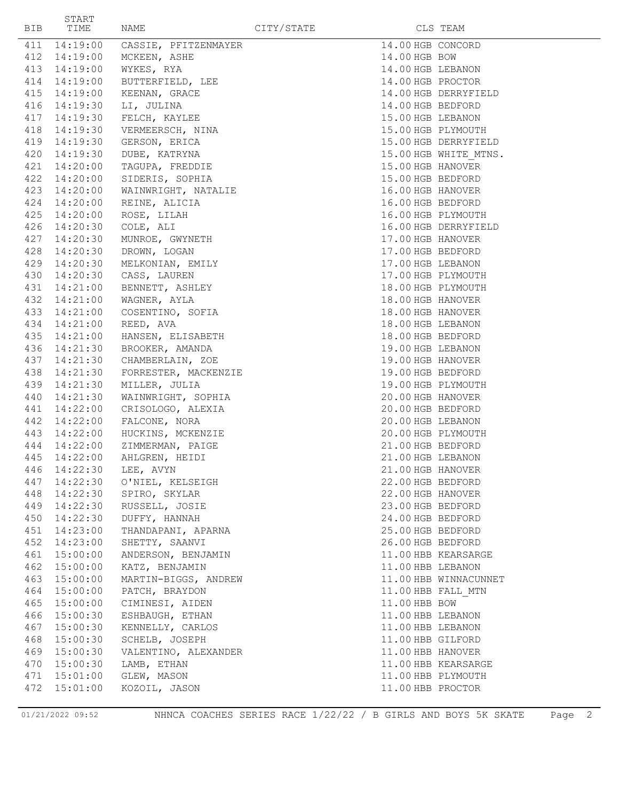| BIB | START<br>TIME                | NAME                                | CITY/STATE |                                         | CLS TEAM              |
|-----|------------------------------|-------------------------------------|------------|-----------------------------------------|-----------------------|
|     |                              | 411 14:19:00 CASSIE, PFITZENMAYER   |            | 14.00 HGB CONCORD                       |                       |
|     | 412 14:19:00                 | MCKEEN, ASHE                        |            | 14.00 HGB BOW                           |                       |
|     | 413 14:19:00                 | WYKES, RYA                          |            | 14.00 HGB LEBANON                       |                       |
|     | 414 14:19:00                 | BUTTERFIELD, LEE                    |            | 14.00 HGB PROCTOR                       |                       |
|     | 415 14:19:00                 | KEENAN, GRACE                       |            |                                         | 14.00 HGB DERRYFIELD  |
|     | 416 14:19:30                 | LI, JULINA                          |            | 14.00 HGB BEDFORD                       |                       |
|     | 417 14:19:30                 | FELCH, KAYLEE                       |            | 15.00 HGB LEBANON                       |                       |
|     | 418 14:19:30                 | VERMEERSCH, NINA                    |            | 15.00 HGB PLYMOUTH                      |                       |
|     | 419 14:19:30                 | GERSON, ERICA                       |            |                                         | 15.00 HGB DERRYFIELD  |
|     | 420 14:19:30                 | DUBE, KATRYNA                       |            |                                         | 15.00 HGB WHITE MTNS. |
|     | 421 14:20:00                 | TAGUPA, FREDDIE                     |            | 15.00 HGB HANOVER                       |                       |
|     | 422 14:20:00                 | SIDERIS, SOPHIA                     |            | 15.00 HGB BEDFORD                       |                       |
|     | 423 14:20:00                 | WAINWRIGHT, NATALIE                 |            | 16.00 HGB HANOVER                       |                       |
|     | 424 14:20:00                 | REINE, ALICIA                       |            | 16.00 HGB BEDFORD                       |                       |
|     | 425 14:20:00                 | ROSE, LILAH                         |            | 16.00 HGB PLYMOUTH                      |                       |
|     | 426 14:20:30                 | COLE, ALI                           |            |                                         | 16.00 HGB DERRYFIELD  |
|     | 427 14:20:30                 | MUNROE, GWYNETH                     |            | 17.00 HGB HANOVER                       |                       |
|     | 428 14:20:30                 | DROWN, LOGAN                        |            | 17.00 HGB BEDFORD                       |                       |
|     | 429 14:20:30                 | MELKONIAN, EMILY                    |            | 17.00 HGB LEBANON                       |                       |
|     | 430 14:20:30                 | CASS, LAUREN                        |            | 17.00 HGB PLYMOUTH                      |                       |
|     | 431 14:21:00                 | BENNETT, ASHLEY                     |            | 18.00 HGB PLYMOUTH                      |                       |
|     | 432 14:21:00                 | WAGNER, AYLA                        |            | 18.00 HGB HANOVER                       |                       |
|     | 433 14:21:00                 | COSENTINO, SOFIA                    |            | 18.00 HGB HANOVER                       |                       |
|     | 434 14:21:00                 | REED, AVA                           |            | 18.00 HGB LEBANON                       |                       |
|     | 435 14:21:00                 | HANSEN, ELISABETH                   |            | 18.00 HGB BEDFORD                       |                       |
|     | 436 14:21:30                 | BROOKER, AMANDA                     |            | 19.00 HGB LEBANON                       |                       |
|     | 437 14:21:30                 | CHAMBERLAIN, ZOE                    |            | 19.00 HGB HANOVER                       |                       |
|     | 438 14:21:30                 | FORRESTER, MACKENZIE                |            | 19.00 HGB BEDFORD<br>19.00 HGB PLYMOUTH |                       |
|     | 439 14:21:30<br>440 14:21:30 | MILLER, JULIA<br>WAINWRIGHT, SOPHIA |            | 20.00 HGB HANOVER                       |                       |
|     | 441 14:22:00                 | CRISOLOGO, ALEXIA                   |            | 20.00 HGB BEDFORD                       |                       |
|     | 442 14:22:00                 | FALCONE, NORA                       |            | 20.00 HGB LEBANON                       |                       |
|     | 443 14:22:00                 | HUCKINS, MCKENZIE                   |            | 20.00 HGB PLYMOUTH                      |                       |
|     | 444 14:22:00                 | ZIMMERMAN, PAIGE                    |            | 21.00 HGB BEDFORD                       |                       |
| 445 | 14:22:00                     | AHLGREN, HEIDI                      |            | 21.00 HGB LEBANON                       |                       |
|     |                              | 446  14:22:30  LEE, AVYN            |            | 21.00 HGB HANOVER                       |                       |
|     |                              | 447 14:22:30 O'NIEL, KELSEIGH       |            | 22.00 HGB BEDFORD                       |                       |
|     | 448 14:22:30                 | SPIRO, SKYLAR                       |            | 22.00 HGB HANOVER                       |                       |
|     | 449 14:22:30                 | RUSSELL, JOSIE                      |            | 23.00 HGB BEDFORD                       |                       |
|     | 450 14:22:30                 | DUFFY, HANNAH                       |            | 24.00 HGB BEDFORD                       |                       |
|     | 451 14:23:00                 | THANDAPANI, APARNA                  |            | 25.00 HGB BEDFORD                       |                       |
|     | 452 14:23:00                 | SHETTY, SAANVI                      |            | 26.00 HGB BEDFORD                       |                       |
|     | 461 15:00:00                 | ANDERSON, BENJAMIN                  |            |                                         | 11.00 HBB KEARSARGE   |
|     | 462 15:00:00                 | KATZ, BENJAMIN                      |            | 11.00 HBB LEBANON                       |                       |
|     | 463 15:00:00                 | MARTIN-BIGGS, ANDREW                |            |                                         | 11.00 HBB WINNACUNNET |
|     | 464 15:00:00                 | PATCH, BRAYDON                      |            | 11.00 HBB FALL MTN                      |                       |
|     | 465 15:00:00                 | CIMINESI, AIDEN                     |            | 11.00 HBB BOW                           |                       |
|     | 466 15:00:30                 | ESHBAUGH, ETHAN                     |            | 11.00 HBB LEBANON                       |                       |
|     | 467 15:00:30                 | KENNELLY, CARLOS                    |            | 11.00 HBB LEBANON                       |                       |
|     | 468 15:00:30                 | SCHELB, JOSEPH                      |            | 11.00 HBB GILFORD                       |                       |
|     | 469 15:00:30                 | VALENTINO, ALEXANDER                |            | 11.00 HBB HANOVER                       |                       |
|     | 470 15:00:30                 | LAMB, ETHAN                         |            |                                         | 11.00 HBB KEARSARGE   |
|     | 471 15:01:00                 | GLEW, MASON                         |            | 11.00 HBB PLYMOUTH                      |                       |
|     | 472 15:01:00                 | KOZOIL, JASON                       |            | 11.00 HBB PROCTOR                       |                       |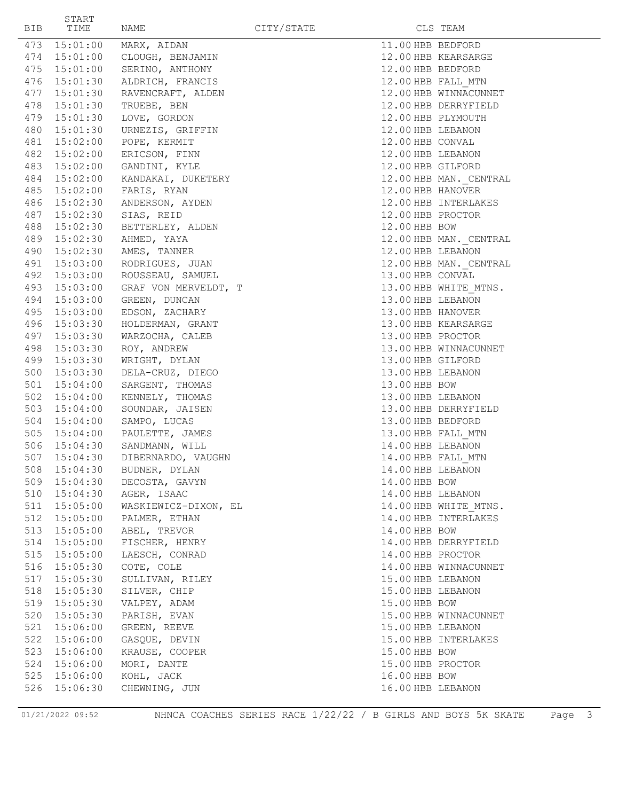| BIB | START<br>TIME                | NAME                                         | CITY/STATE |               | CLS TEAM                                  |
|-----|------------------------------|----------------------------------------------|------------|---------------|-------------------------------------------|
|     |                              | 473 15:01:00 MARX, AIDAN                     |            |               | 11.00 HBB BEDFORD                         |
|     |                              | 474 15:01:00 CLOUGH, BENJAMIN                |            |               | 12.00 HBB KEARSARGE                       |
|     |                              | 475 15:01:00 SERINO, ANTHONY                 |            |               | 12.00 HBB BEDFORD                         |
|     |                              | 476 15:01:30 ALDRICH, FRANCIS                |            |               | 12.00 HBB FALL MTN                        |
|     |                              | 477 15:01:30 RAVENCRAFT, ALDEN               |            |               | 12.00 HBB WINNACUNNET                     |
|     | 478 15:01:30                 | TRUEBE, BEN                                  |            |               | 12.00 HBB DERRYFIELD                      |
|     |                              | 479  15:01:30  LOVE, GORDON                  |            |               | 12.00 HBB PLYMOUTH                        |
|     |                              | 480 15:01:30 URNEZIS, GRIFFIN                |            |               | 12.00 HBB LEBANON                         |
|     |                              | 481 15:02:00 POPE, KERMIT                    |            |               | 12.00 HBB CONVAL                          |
|     |                              | 482 15:02:00 ERICSON, FINN                   |            |               | 12.00 HBB LEBANON                         |
|     |                              | 483 15:02:00 GANDINI, KYLE                   |            |               | 12.00 HBB GILFORD                         |
|     |                              | 484 15:02:00 KANDAKAI, DUKETERY              |            |               | 12.00 HBB MAN. CENTRAL                    |
|     |                              | 485 15:02:00 FARIS, RYAN                     |            |               | 12.00 HBB HANOVER                         |
|     |                              | 486  15:02:30  ANDERSON, AYDEN               |            |               | 12.00 HBB INTERLAKES                      |
|     | 487 15:02:30                 | SIAS, REID                                   |            |               | 12.00 HBB PROCTOR                         |
|     |                              | 488 15:02:30 BETTERLEY, ALDEN                |            | 12.00 HBB BOW |                                           |
|     |                              | 489 15:02:30 AHMED, YAYA                     |            |               | 12.00 HBB MAN. CENTRAL                    |
|     |                              | 490 15:02:30 AMES, TANNER                    |            |               | 12.00 HBB LEBANON                         |
|     |                              | 491 15:03:00 RODRIGUES, JUAN                 |            |               | 12.00 HBB MAN. CENTRAL                    |
|     |                              | 492 15:03:00 ROUSSEAU, SAMUEL                |            |               | 13.00 HBB CONVAL                          |
|     |                              | 493 15:03:00 GRAF VON MERVELDT, T            |            |               | 13.00 HBB WHITE MTNS.                     |
|     |                              | 494 15:03:00 GREEN, DUNCAN                   |            |               | 13.00 HBB LEBANON                         |
|     | 495 15:03:00                 | EDSON, ZACHARY                               |            |               | 13.00 HBB HANOVER                         |
|     | 496 15:03:30                 | HOLDERMAN, GRANT                             |            |               | 13.00 HBB KEARSARGE                       |
|     | 497 15:03:30                 | WARZOCHA, CALEB                              |            |               | 13.00 HBB PROCTOR                         |
|     | 498 15:03:30                 | ROY, ANDREW                                  |            |               | 13.00 HBB WINNACUNNET                     |
|     | 499 15:03:30                 | WRIGHT, DYLAN                                |            |               | 13.00 HBB GILFORD                         |
|     | 500 15:03:30                 | DELA-CRUZ, DIEGO                             |            |               | 13.00 HBB LEBANON                         |
|     | 501 15:04:00                 | SARGENT, THOMAS                              |            | 13.00 HBB BOW |                                           |
|     | 502 15:04:00                 | KENNELY, THOMAS                              |            |               | 13.00 HBB LEBANON                         |
|     | 503 15:04:00<br>504 15:04:00 | SOUNDAR, JAISEN                              |            |               | 13.00 HBB DERRYFIELD<br>13.00 HBB BEDFORD |
|     |                              | SAMPO, LUCAS<br>505 15:04:00 PAULETTE, JAMES |            |               |                                           |
|     |                              | 506 15:04:30 SANDMANN, WILL                  |            |               | 13.00 HBB FALL MTN<br>14.00 HBB LEBANON   |
|     | 507 15:04:30                 | DIBERNARDO, VAUGHN                           |            |               | 14.00 HBB FALL MTN                        |
|     |                              | 508 15:04:30 BUDNER, DYLAN                   |            |               | 14.00 HBB LEBANON                         |
|     | 509 15:04:30                 | DECOSTA, GAVYN                               |            | 14.00 HBB BOW |                                           |
|     |                              | 510 15:04:30 AGER, ISAAC                     |            |               | 14.00 HBB LEBANON                         |
|     | 511 15:05:00                 | WASKIEWICZ-DIXON, EL                         |            |               | 14.00 HBB WHITE MTNS.                     |
|     | 512 15:05:00                 | PALMER, ETHAN                                |            |               | 14.00 HBB INTERLAKES                      |
|     | 513 15:05:00                 | ABEL, TREVOR                                 |            | 14.00 HBB BOW |                                           |
|     | 514 15:05:00                 | FISCHER, HENRY                               |            |               | 14.00 HBB DERRYFIELD                      |
|     | 515 15:05:00                 | LAESCH, CONRAD                               |            |               | 14.00 HBB PROCTOR                         |
|     | 516 15:05:30                 | COTE, COLE                                   |            |               | 14.00 HBB WINNACUNNET                     |
|     | 517 15:05:30                 | SULLIVAN, RILEY                              |            |               | 15.00 HBB LEBANON                         |
|     | 518 15:05:30                 | SILVER, CHIP                                 |            |               | 15.00 HBB LEBANON                         |
|     | 519 15:05:30                 | VALPEY, ADAM                                 |            | 15.00 HBB BOW |                                           |
|     | 520 15:05:30                 | PARISH, EVAN                                 |            |               | 15.00 HBB WINNACUNNET                     |
|     | 521 15:06:00                 | GREEN, REEVE                                 |            |               | 15.00 HBB LEBANON                         |
|     | 522 15:06:00                 | GASQUE, DEVIN                                |            |               | 15.00 HBB INTERLAKES                      |
|     | 523 15:06:00                 | KRAUSE, COOPER                               |            | 15.00 HBB BOW |                                           |
|     | 524 15:06:00                 | MORI, DANTE                                  |            |               | 15.00 HBB PROCTOR                         |
|     | 525 15:06:00                 | KOHL, JACK                                   |            | 16.00 HBB BOW |                                           |
|     | 526 15:06:30                 | CHEWNING, JUN                                |            |               | 16.00 HBB LEBANON                         |
|     |                              |                                              |            |               |                                           |

01/21/2022 09:52 NHNCA COACHES SERIES RACE 1/22/22 / B GIRLS AND BOYS 5K SKATE Page 3